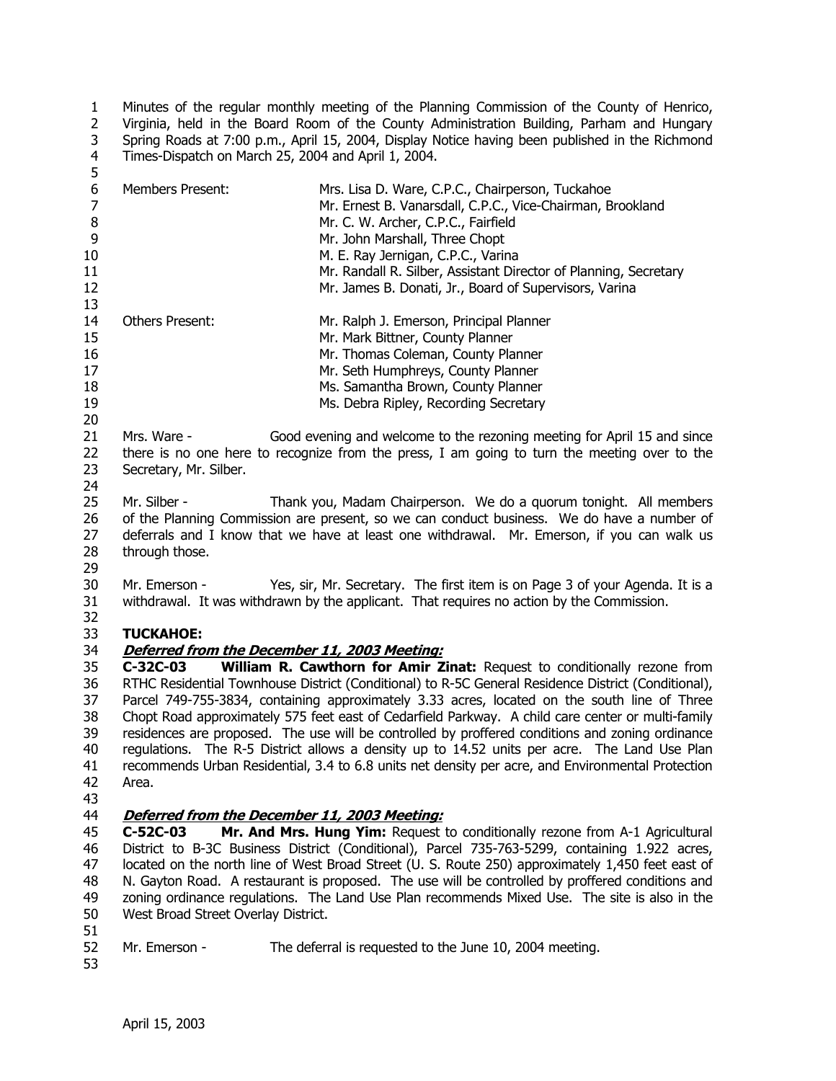1  $\overline{2}$ 3 4 Minutes of the regular monthly meeting of the Planning Commission of the County of Henrico, Virginia, held in the Board Room of the County Administration Building, Parham and Hungary Spring Roads at 7:00 p.m., April 15, 2004, Display Notice having been published in the Richmond Times-Dispatch on March 25, 2004 and April 1, 2004.

| ັ<br>6<br>$\overline{7}$<br>8<br>9<br>10<br>11<br>12<br>13 | <b>Members Present:</b>                                                                                                                                                                                                                                                                               | Mrs. Lisa D. Ware, C.P.C., Chairperson, Tuckahoe<br>Mr. Ernest B. Vanarsdall, C.P.C., Vice-Chairman, Brookland<br>Mr. C. W. Archer, C.P.C., Fairfield<br>Mr. John Marshall, Three Chopt<br>M. E. Ray Jernigan, C.P.C., Varina<br>Mr. Randall R. Silber, Assistant Director of Planning, Secretary<br>Mr. James B. Donati, Jr., Board of Supervisors, Varina                                                                                                                                                                                                                                                                                                                                   |  |  |  |
|------------------------------------------------------------|-------------------------------------------------------------------------------------------------------------------------------------------------------------------------------------------------------------------------------------------------------------------------------------------------------|-----------------------------------------------------------------------------------------------------------------------------------------------------------------------------------------------------------------------------------------------------------------------------------------------------------------------------------------------------------------------------------------------------------------------------------------------------------------------------------------------------------------------------------------------------------------------------------------------------------------------------------------------------------------------------------------------|--|--|--|
| 14<br>15<br>16<br>17<br>18<br>19<br>20                     | <b>Others Present:</b>                                                                                                                                                                                                                                                                                | Mr. Ralph J. Emerson, Principal Planner<br>Mr. Mark Bittner, County Planner<br>Mr. Thomas Coleman, County Planner<br>Mr. Seth Humphreys, County Planner<br>Ms. Samantha Brown, County Planner<br>Ms. Debra Ripley, Recording Secretary                                                                                                                                                                                                                                                                                                                                                                                                                                                        |  |  |  |
| 21<br>22<br>23<br>24                                       | Mrs. Ware -<br>Secretary, Mr. Silber.                                                                                                                                                                                                                                                                 | Good evening and welcome to the rezoning meeting for April 15 and since<br>there is no one here to recognize from the press, I am going to turn the meeting over to the                                                                                                                                                                                                                                                                                                                                                                                                                                                                                                                       |  |  |  |
| 25<br>26<br>27<br>28                                       | Mr. Silber -<br>Thank you, Madam Chairperson. We do a quorum tonight. All members<br>of the Planning Commission are present, so we can conduct business. We do have a number of<br>deferrals and I know that we have at least one withdrawal. Mr. Emerson, if you can walk us<br>through those.<br>29 |                                                                                                                                                                                                                                                                                                                                                                                                                                                                                                                                                                                                                                                                                               |  |  |  |
| 30<br>31<br>32                                             | Mr. Emerson -                                                                                                                                                                                                                                                                                         | Yes, sir, Mr. Secretary. The first item is on Page 3 of your Agenda. It is a<br>withdrawal. It was withdrawn by the applicant. That requires no action by the Commission.                                                                                                                                                                                                                                                                                                                                                                                                                                                                                                                     |  |  |  |
| 33                                                         | <b>TUCKAHOE:</b>                                                                                                                                                                                                                                                                                      |                                                                                                                                                                                                                                                                                                                                                                                                                                                                                                                                                                                                                                                                                               |  |  |  |
| 34                                                         |                                                                                                                                                                                                                                                                                                       | Deferred from the December 11, 2003 Meeting:                                                                                                                                                                                                                                                                                                                                                                                                                                                                                                                                                                                                                                                  |  |  |  |
| 35<br>36<br>37<br>38<br>39<br>40<br>41<br>42<br>43         | C-32C-03<br>Area.                                                                                                                                                                                                                                                                                     | William R. Cawthorn for Amir Zinat: Request to conditionally rezone from<br>RTHC Residential Townhouse District (Conditional) to R-5C General Residence District (Conditional),<br>Parcel 749-755-3834, containing approximately 3.33 acres, located on the south line of Three<br>Chopt Road approximately 575 feet east of Cedarfield Parkway. A child care center or multi-family<br>residences are proposed. The use will be controlled by proffered conditions and zoning ordinance<br>regulations. The R-5 District allows a density up to 14.52 units per acre. The Land Use Plan<br>recommends Urban Residential, 3.4 to 6.8 units net density per acre, and Environmental Protection |  |  |  |
| 44                                                         |                                                                                                                                                                                                                                                                                                       | Deferred from the December 11, 2003 Meeting:                                                                                                                                                                                                                                                                                                                                                                                                                                                                                                                                                                                                                                                  |  |  |  |
| 45                                                         | $C-52C-03$                                                                                                                                                                                                                                                                                            | Mr. And Mrs. Hung Yim: Request to conditionally rezone from A-1 Agricultural                                                                                                                                                                                                                                                                                                                                                                                                                                                                                                                                                                                                                  |  |  |  |
| 46<br>47                                                   | District to B-3C Business District (Conditional), Parcel 735-763-5299, containing 1.922 acres,<br>located on the north line of West Broad Street (U. S. Route 250) approximately 1,450 feet east of                                                                                                   |                                                                                                                                                                                                                                                                                                                                                                                                                                                                                                                                                                                                                                                                                               |  |  |  |
| 48                                                         | N. Gayton Road. A restaurant is proposed. The use will be controlled by proffered conditions and                                                                                                                                                                                                      |                                                                                                                                                                                                                                                                                                                                                                                                                                                                                                                                                                                                                                                                                               |  |  |  |
| 49<br>50<br>51                                             | zoning ordinance regulations. The Land Use Plan recommends Mixed Use. The site is also in the<br>West Broad Street Overlay District.                                                                                                                                                                  |                                                                                                                                                                                                                                                                                                                                                                                                                                                                                                                                                                                                                                                                                               |  |  |  |
| 52<br>53                                                   | Mr. Emerson -                                                                                                                                                                                                                                                                                         | The deferral is requested to the June 10, 2004 meeting.                                                                                                                                                                                                                                                                                                                                                                                                                                                                                                                                                                                                                                       |  |  |  |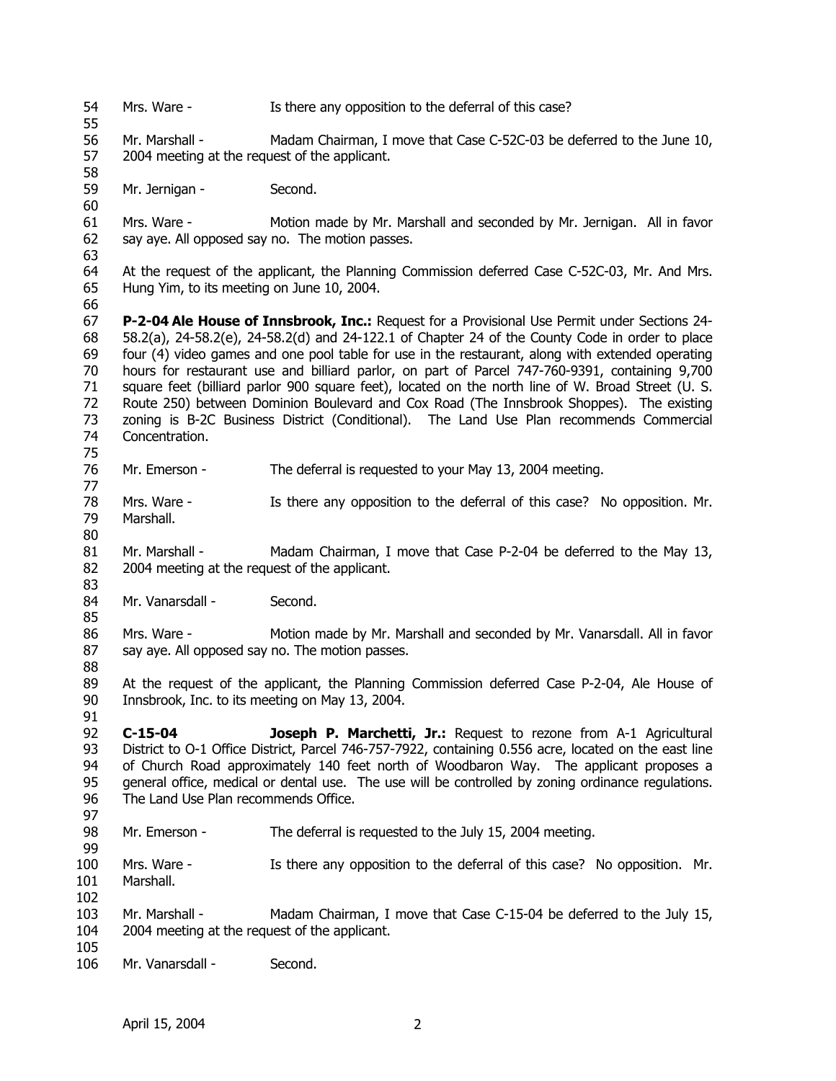54 55 56 57 58 59 60 61 62 63 64 65 66 67 68 69 70 71 72 73 74 75 76 77 78 79 80 81 82 83 84 85 86 87 88 89 90 91 92 93 94 95 96 97 98 99 100 101 102 103 104 105 106 Mrs. Ware - Is there any opposition to the deferral of this case? Mr. Marshall - Madam Chairman, I move that Case C-52C-03 be deferred to the June 10, 2004 meeting at the request of the applicant. Mr. Jernigan - Second. Mrs. Ware - Motion made by Mr. Marshall and seconded by Mr. Jernigan. All in favor say aye. All opposed say no. The motion passes. At the request of the applicant, the Planning Commission deferred Case C-52C-03, Mr. And Mrs. Hung Yim, to its meeting on June 10, 2004. **P-2-04 Ale House of Innsbrook, Inc.:** Request for a Provisional Use Permit under Sections 24- 58.2(a), 24-58.2(e), 24-58.2(d) and 24-122.1 of Chapter 24 of the County Code in order to place four (4) video games and one pool table for use in the restaurant, along with extended operating hours for restaurant use and billiard parlor, on part of Parcel 747-760-9391, containing 9,700 square feet (billiard parlor 900 square feet), located on the north line of W. Broad Street (U. S. Route 250) between Dominion Boulevard and Cox Road (The Innsbrook Shoppes). The existing zoning is B-2C Business District (Conditional). The Land Use Plan recommends Commercial Concentration. Mr. Emerson - The deferral is requested to your May 13, 2004 meeting. Mrs. Ware - Is there any opposition to the deferral of this case? No opposition. Mr. Marshall. Mr. Marshall - Madam Chairman, I move that Case P-2-04 be deferred to the May 13, 2004 meeting at the request of the applicant. Mr. Vanarsdall - Second. Mrs. Ware - Motion made by Mr. Marshall and seconded by Mr. Vanarsdall. All in favor say aye. All opposed say no. The motion passes. At the request of the applicant, the Planning Commission deferred Case P-2-04, Ale House of Innsbrook, Inc. to its meeting on May 13, 2004. **C-15-04 Joseph P. Marchetti, Jr.:** Request to rezone from A-1 Agricultural District to O-1 Office District, Parcel 746-757-7922, containing 0.556 acre, located on the east line of Church Road approximately 140 feet north of Woodbaron Way. The applicant proposes a general office, medical or dental use. The use will be controlled by zoning ordinance regulations. The Land Use Plan recommends Office. Mr. Emerson - The deferral is requested to the July 15, 2004 meeting. Mrs. Ware - Is there any opposition to the deferral of this case? No opposition. Mr. Marshall. Mr. Marshall - Madam Chairman, I move that Case C-15-04 be deferred to the July 15, 2004 meeting at the request of the applicant. Mr. Vanarsdall - Second.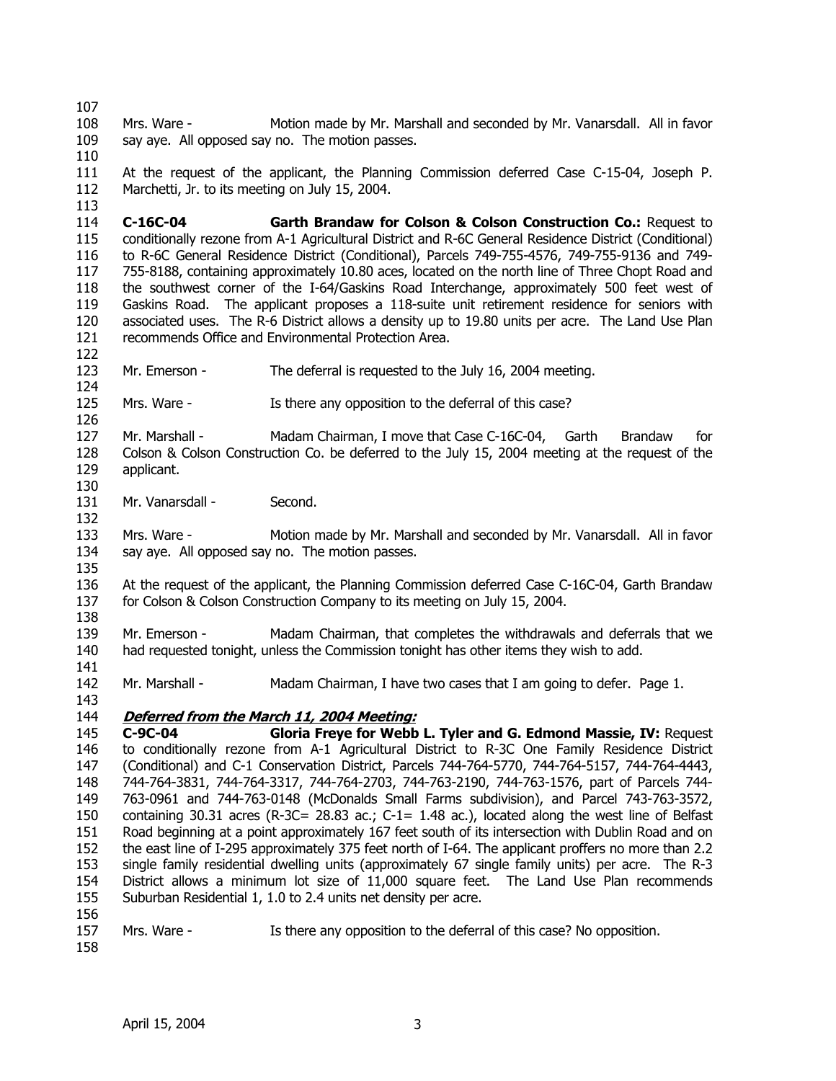107 108 109 110 Mrs. Ware - Motion made by Mr. Marshall and seconded by Mr. Vanarsdall. All in favor say aye. All opposed say no. The motion passes.

111 112 At the request of the applicant, the Planning Commission deferred Case C-15-04, Joseph P. Marchetti, Jr. to its meeting on July 15, 2004.

114 115 116 117 118 119 120 121 **C-16C-04 Garth Brandaw for Colson & Colson Construction Co.:** Request to conditionally rezone from A-1 Agricultural District and R-6C General Residence District (Conditional) to R-6C General Residence District (Conditional), Parcels 749-755-4576, 749-755-9136 and 749- 755-8188, containing approximately 10.80 aces, located on the north line of Three Chopt Road and the southwest corner of the I-64/Gaskins Road Interchange, approximately 500 feet west of Gaskins Road. The applicant proposes a 118-suite unit retirement residence for seniors with associated uses. The R-6 District allows a density up to 19.80 units per acre. The Land Use Plan recommends Office and Environmental Protection Area.

123 Mr. Emerson - The deferral is requested to the July 16, 2004 meeting.

125 Mrs. Ware - Is there any opposition to the deferral of this case?

127 128 129 Mr. Marshall - Madam Chairman, I move that Case C-16C-04, Garth Brandaw for Colson & Colson Construction Co. be deferred to the July 15, 2004 meeting at the request of the applicant.

131 Mr. Vanarsdall - Second.

133 134 Mrs. Ware - Motion made by Mr. Marshall and seconded by Mr. Vanarsdall. All in favor say aye. All opposed say no. The motion passes.

136 137 At the request of the applicant, the Planning Commission deferred Case C-16C-04, Garth Brandaw for Colson & Colson Construction Company to its meeting on July 15, 2004.

139 140 Mr. Emerson - Madam Chairman, that completes the withdrawals and deferrals that we had requested tonight, unless the Commission tonight has other items they wish to add.

142 Mr. Marshall - Madam Chairman, I have two cases that I am going to defer. Page 1.

### 144 **Deferred from the March 11, 2004 Meeting:**

145 146 147 148 149 150 151 152 153 154 155 156 **C-9C-04 Gloria Freye for Webb L. Tyler and G. Edmond Massie, IV:** Request to conditionally rezone from A-1 Agricultural District to R-3C One Family Residence District (Conditional) and C-1 Conservation District, Parcels 744-764-5770, 744-764-5157, 744-764-4443, 744-764-3831, 744-764-3317, 744-764-2703, 744-763-2190, 744-763-1576, part of Parcels 744- 763-0961 and 744-763-0148 (McDonalds Small Farms subdivision), and Parcel 743-763-3572, containing 30.31 acres (R-3C= 28.83 ac.; C-1= 1.48 ac.), located along the west line of Belfast Road beginning at a point approximately 167 feet south of its intersection with Dublin Road and on the east line of I-295 approximately 375 feet north of I-64. The applicant proffers no more than 2.2 single family residential dwelling units (approximately 67 single family units) per acre. The R-3 District allows a minimum lot size of 11,000 square feet. The Land Use Plan recommends Suburban Residential 1, 1.0 to 2.4 units net density per acre.

157 Mrs. Ware - Is there any opposition to the deferral of this case? No opposition.

158

113

122

124

126

130

132

135

138

141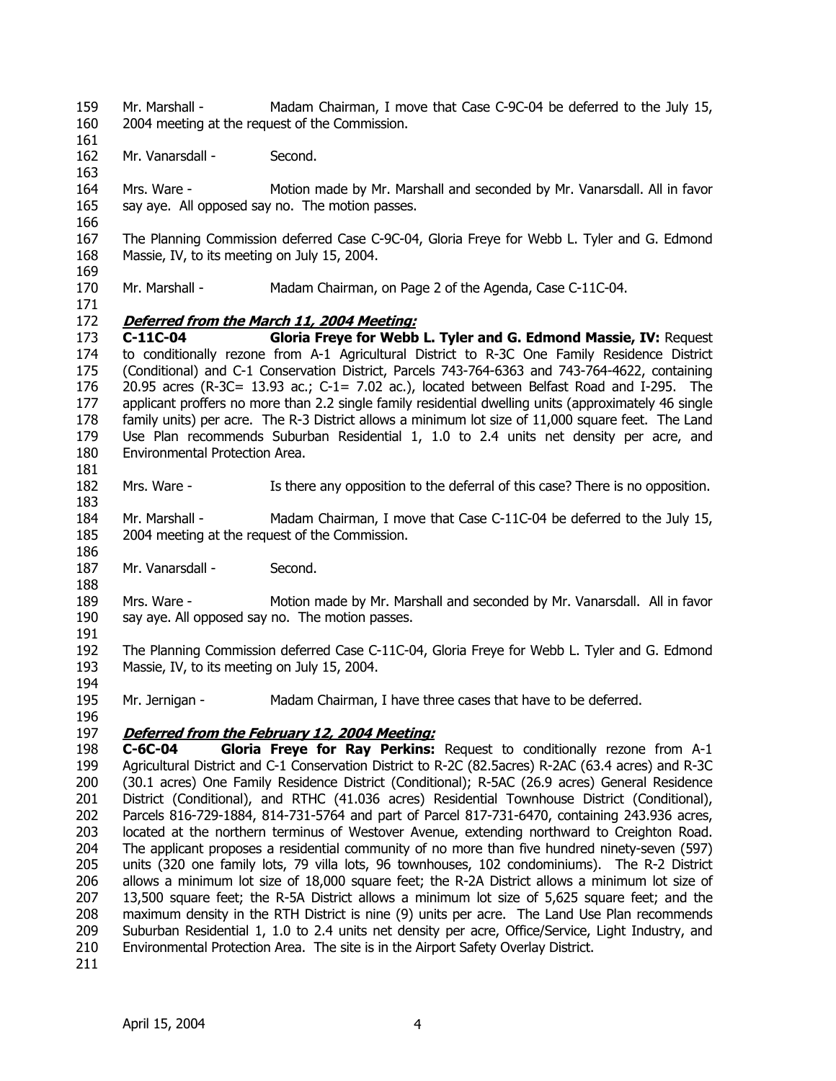- 159 160 Mr. Marshall - Madam Chairman, I move that Case C-9C-04 be deferred to the July 15, 2004 meeting at the request of the Commission.
- 162 Mr. Vanarsdall - Second.
- 164 165 Mrs. Ware - Motion made by Mr. Marshall and seconded by Mr. Vanarsdall. All in favor say aye. All opposed say no. The motion passes.
- 166

171

181

161

163

167 168 169 The Planning Commission deferred Case C-9C-04, Gloria Freye for Webb L. Tyler and G. Edmond Massie, IV, to its meeting on July 15, 2004.

170 Mr. Marshall - Madam Chairman, on Page 2 of the Agenda, Case C-11C-04.

## 172 **Deferred from the March 11, 2004 Meeting:**

173 174 175 176 177 178 179 180 **C-11C-04 Gloria Freye for Webb L. Tyler and G. Edmond Massie, IV:** Request to conditionally rezone from A-1 Agricultural District to R-3C One Family Residence District (Conditional) and C-1 Conservation District, Parcels 743-764-6363 and 743-764-4622, containing 20.95 acres (R-3C= 13.93 ac.; C-1= 7.02 ac.), located between Belfast Road and I-295. The applicant proffers no more than 2.2 single family residential dwelling units (approximately 46 single family units) per acre. The R-3 District allows a minimum lot size of 11,000 square feet. The Land Use Plan recommends Suburban Residential 1, 1.0 to 2.4 units net density per acre, and Environmental Protection Area.

- 182 183 Mrs. Ware - Is there any opposition to the deferral of this case? There is no opposition.
- 184 185 Mr. Marshall - Madam Chairman, I move that Case C-11C-04 be deferred to the July 15, 2004 meeting at the request of the Commission.
- 187 Mr. Vanarsdall - Second.

189 190 Mrs. Ware - Motion made by Mr. Marshall and seconded by Mr. Vanarsdall. All in favor say aye. All opposed say no. The motion passes.

191

186

188

192 193 The Planning Commission deferred Case C-11C-04, Gloria Freye for Webb L. Tyler and G. Edmond Massie, IV, to its meeting on July 15, 2004.

194 195 Mr. Jernigan - Madam Chairman, I have three cases that have to be deferred.

196

## 197 **Deferred from the February 12, 2004 Meeting:**

198 199 200 201 202 203 204 205 206 207 208 209 210 **C-6C-04 Gloria Freye for Ray Perkins:** Request to conditionally rezone from A-1 Agricultural District and C-1 Conservation District to R-2C (82.5acres) R-2AC (63.4 acres) and R-3C (30.1 acres) One Family Residence District (Conditional); R-5AC (26.9 acres) General Residence District (Conditional), and RTHC (41.036 acres) Residential Townhouse District (Conditional), Parcels 816-729-1884, 814-731-5764 and part of Parcel 817-731-6470, containing 243.936 acres, located at the northern terminus of Westover Avenue, extending northward to Creighton Road. The applicant proposes a residential community of no more than five hundred ninety-seven (597) units (320 one family lots, 79 villa lots, 96 townhouses, 102 condominiums). The R-2 District allows a minimum lot size of 18,000 square feet; the R-2A District allows a minimum lot size of 13,500 square feet; the R-5A District allows a minimum lot size of 5,625 square feet; and the maximum density in the RTH District is nine (9) units per acre. The Land Use Plan recommends Suburban Residential 1, 1.0 to 2.4 units net density per acre, Office/Service, Light Industry, and Environmental Protection Area. The site is in the Airport Safety Overlay District.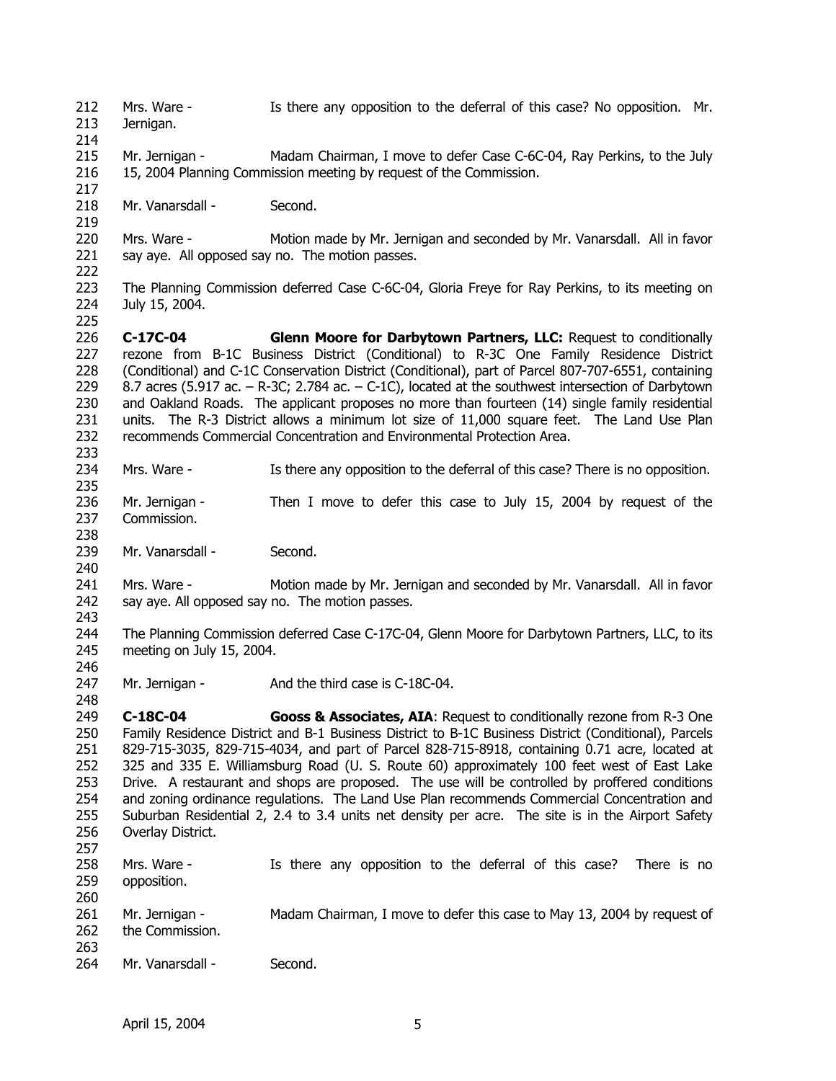212 213 214 215 216 217 218 219 220 221 222 223 224 225 226 227 228 229 230 231 232 233 234 235 236 237 238 239 240 241 242 243 244 245 246 247 248 249 250 251 252 253 254 255 256 257 258 259 260 261 262 263 264 Mrs. Ware - Is there any opposition to the deferral of this case? No opposition. Mr. Jernigan. Mr. Jernigan - Madam Chairman, I move to defer Case C-6C-04, Ray Perkins, to the July 15, 2004 Planning Commission meeting by request of the Commission. Mr. Vanarsdall - Second. Mrs. Ware - Motion made by Mr. Jernigan and seconded by Mr. Vanarsdall. All in favor say aye. All opposed say no. The motion passes. The Planning Commission deferred Case C-6C-04, Gloria Freye for Ray Perkins, to its meeting on July 15, 2004. **C-17C-04 Glenn Moore for Darbytown Partners, LLC:** Request to conditionally rezone from B-1C Business District (Conditional) to R-3C One Family Residence District (Conditional) and C-1C Conservation District (Conditional), part of Parcel 807-707-6551, containing 8.7 acres (5.917 ac. – R-3C; 2.784 ac. – C-1C), located at the southwest intersection of Darbytown and Oakland Roads. The applicant proposes no more than fourteen (14) single family residential units. The R-3 District allows a minimum lot size of 11,000 square feet. The Land Use Plan recommends Commercial Concentration and Environmental Protection Area. Mrs. Ware - Is there any opposition to the deferral of this case? There is no opposition. Mr. Jernigan - Then I move to defer this case to July 15, 2004 by request of the Commission. Mr. Vanarsdall - Second. Mrs. Ware - Motion made by Mr. Jernigan and seconded by Mr. Vanarsdall. All in favor say aye. All opposed say no. The motion passes. The Planning Commission deferred Case C-17C-04, Glenn Moore for Darbytown Partners, LLC, to its meeting on July 15, 2004. Mr. Jernigan - And the third case is C-18C-04. **C-18C-04 Gooss & Associates, AIA**: Request to conditionally rezone from R-3 One Family Residence District and B-1 Business District to B-1C Business District (Conditional), Parcels 829-715-3035, 829-715-4034, and part of Parcel 828-715-8918, containing 0.71 acre, located at 325 and 335 E. Williamsburg Road (U. S. Route 60) approximately 100 feet west of East Lake Drive. A restaurant and shops are proposed. The use will be controlled by proffered conditions and zoning ordinance regulations. The Land Use Plan recommends Commercial Concentration and Suburban Residential 2, 2.4 to 3.4 units net density per acre. The site is in the Airport Safety Overlay District. Mrs. Ware - Is there any opposition to the deferral of this case? There is no opposition. Mr. Jernigan - Madam Chairman, I move to defer this case to May 13, 2004 by request of the Commission. Mr. Vanarsdall - Second.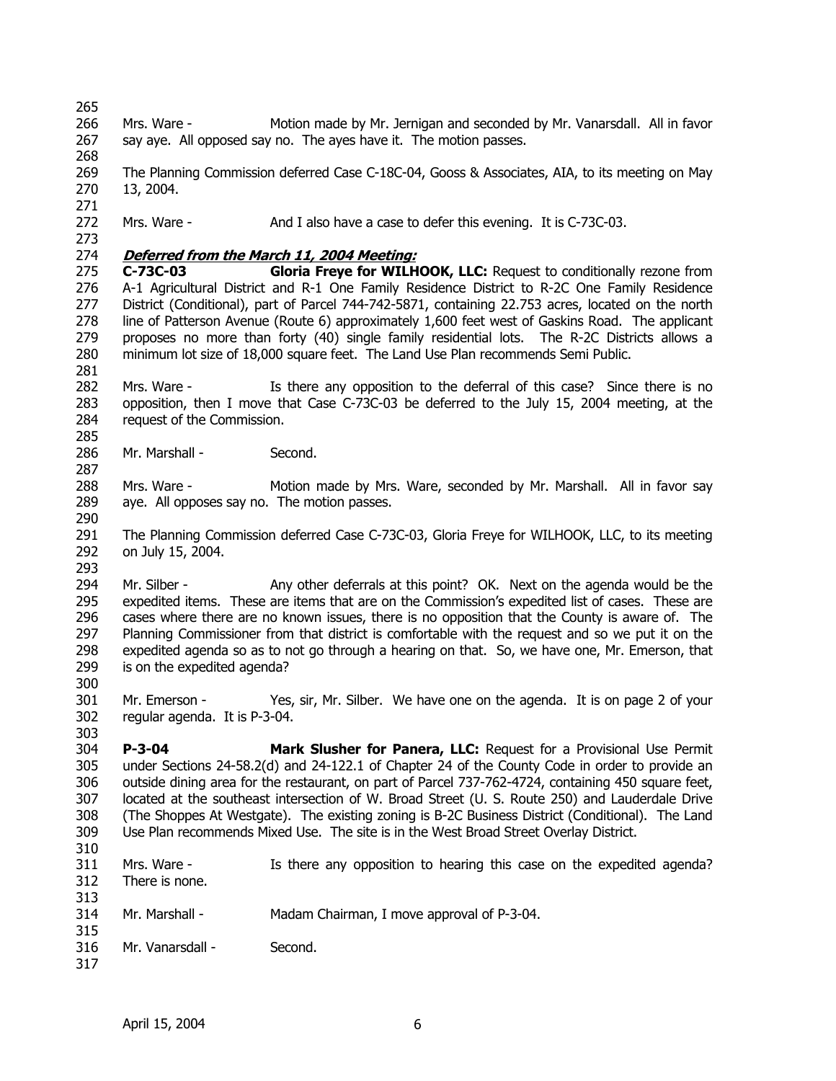265 266 267 268 269 270 271 272 273 Mrs. Ware - Motion made by Mr. Jernigan and seconded by Mr. Vanarsdall. All in favor say aye. All opposed say no. The ayes have it. The motion passes. The Planning Commission deferred Case C-18C-04, Gooss & Associates, AIA, to its meeting on May 13, 2004. Mrs. Ware - And I also have a case to defer this evening. It is C-73C-03. 274 **Deferred from the March 11, 2004 Meeting:** 275 276 277 278 279 280 281 282 283 284 285 286 287 288 289 290 291 292 293 294 295 296 297 298 299 300 301 302 303 304 305 306 307 308 309 310 311 312 313 314 315 316 317 **C-73C-03 Gloria Freye for WILHOOK, LLC:** Request to conditionally rezone from A-1 Agricultural District and R-1 One Family Residence District to R-2C One Family Residence District (Conditional), part of Parcel 744-742-5871, containing 22.753 acres, located on the north line of Patterson Avenue (Route 6) approximately 1,600 feet west of Gaskins Road. The applicant proposes no more than forty (40) single family residential lots. The R-2C Districts allows a minimum lot size of 18,000 square feet. The Land Use Plan recommends Semi Public. Mrs. Ware - Is there any opposition to the deferral of this case? Since there is no opposition, then I move that Case C-73C-03 be deferred to the July 15, 2004 meeting, at the request of the Commission. Mr. Marshall - Second. Mrs. Ware - Motion made by Mrs. Ware, seconded by Mr. Marshall. All in favor say aye. All opposes say no. The motion passes. The Planning Commission deferred Case C-73C-03, Gloria Freye for WILHOOK, LLC, to its meeting on July 15, 2004. Mr. Silber - Any other deferrals at this point? OK. Next on the agenda would be the expedited items. These are items that are on the Commission's expedited list of cases. These are cases where there are no known issues, there is no opposition that the County is aware of. The Planning Commissioner from that district is comfortable with the request and so we put it on the expedited agenda so as to not go through a hearing on that. So, we have one, Mr. Emerson, that is on the expedited agenda? Mr. Emerson - Yes, sir, Mr. Silber. We have one on the agenda. It is on page 2 of your regular agenda. It is P-3-04. **P-3-04 Mark Slusher for Panera, LLC:** Request for a Provisional Use Permit under Sections 24-58.2(d) and 24-122.1 of Chapter 24 of the County Code in order to provide an outside dining area for the restaurant, on part of Parcel 737-762-4724, containing 450 square feet, located at the southeast intersection of W. Broad Street (U. S. Route 250) and Lauderdale Drive (The Shoppes At Westgate). The existing zoning is B-2C Business District (Conditional). The Land Use Plan recommends Mixed Use. The site is in the West Broad Street Overlay District. Mrs. Ware - Is there any opposition to hearing this case on the expedited agenda? There is none. Mr. Marshall - Madam Chairman, I move approval of P-3-04. Mr. Vanarsdall - Second.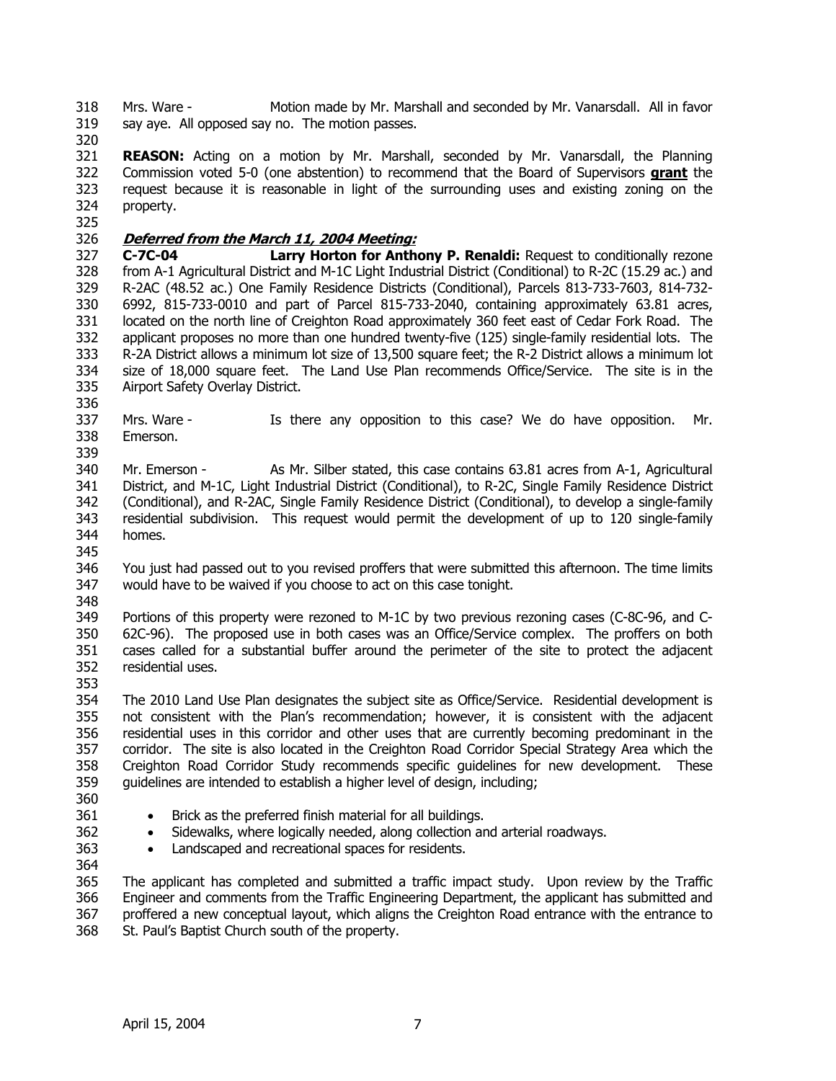318 319 Mrs. Ware - Motion made by Mr. Marshall and seconded by Mr. Vanarsdall. All in favor say aye. All opposed say no. The motion passes.

320

321 **REASON:** Acting on a motion by Mr. Marshall, seconded by Mr. Vanarsdall, the Planning Commission voted 5-0 (one abstention) to recommend that the Board of Supervisors **grant** the request because it is reasonable in light of the surrounding uses and existing zoning on the property. 322 323 324 325

# 326 **Deferred from the March 11, 2004 Meeting:**

327 328 329 330 331 332 333 334 335 **C-7C-04 Larry Horton for Anthony P. Renaldi:** Request to conditionally rezone from A-1 Agricultural District and M-1C Light Industrial District (Conditional) to R-2C (15.29 ac.) and R-2AC (48.52 ac.) One Family Residence Districts (Conditional), Parcels 813-733-7603, 814-732- 6992, 815-733-0010 and part of Parcel 815-733-2040, containing approximately 63.81 acres, located on the north line of Creighton Road approximately 360 feet east of Cedar Fork Road. The applicant proposes no more than one hundred twenty-five (125) single-family residential lots. The R-2A District allows a minimum lot size of 13,500 square feet; the R-2 District allows a minimum lot size of 18,000 square feet. The Land Use Plan recommends Office/Service. The site is in the Airport Safety Overlay District.

- 337 338 Mrs. Ware - Is there any opposition to this case? We do have opposition. Mr. Emerson.
- 339

345

336

340 341 342 343 344 Mr. Emerson - As Mr. Silber stated, this case contains 63.81 acres from A-1, Agricultural District, and M-1C, Light Industrial District (Conditional), to R-2C, Single Family Residence District (Conditional), and R-2AC, Single Family Residence District (Conditional), to develop a single-family residential subdivision. This request would permit the development of up to 120 single-family homes.

346 347 348 You just had passed out to you revised proffers that were submitted this afternoon. The time limits would have to be waived if you choose to act on this case tonight.

349 350 351 352 353 Portions of this property were rezoned to M-1C by two previous rezoning cases (C-8C-96, and C-62C-96). The proposed use in both cases was an Office/Service complex. The proffers on both cases called for a substantial buffer around the perimeter of the site to protect the adjacent residential uses.

354 355 356 357 358 359 The 2010 Land Use Plan designates the subject site as Office/Service. Residential development is not consistent with the Plan's recommendation; however, it is consistent with the adjacent residential uses in this corridor and other uses that are currently becoming predominant in the corridor. The site is also located in the Creighton Road Corridor Special Strategy Area which the Creighton Road Corridor Study recommends specific guidelines for new development. These guidelines are intended to establish a higher level of design, including;

360 361

362

- Brick as the preferred finish material for all buildings.
- Sidewalks, where logically needed, along collection and arterial roadways.
- Landscaped and recreational spaces for residents.
- 363 364

365 366 367 368 The applicant has completed and submitted a traffic impact study. Upon review by the Traffic Engineer and comments from the Traffic Engineering Department, the applicant has submitted and proffered a new conceptual layout, which aligns the Creighton Road entrance with the entrance to St. Paul's Baptist Church south of the property.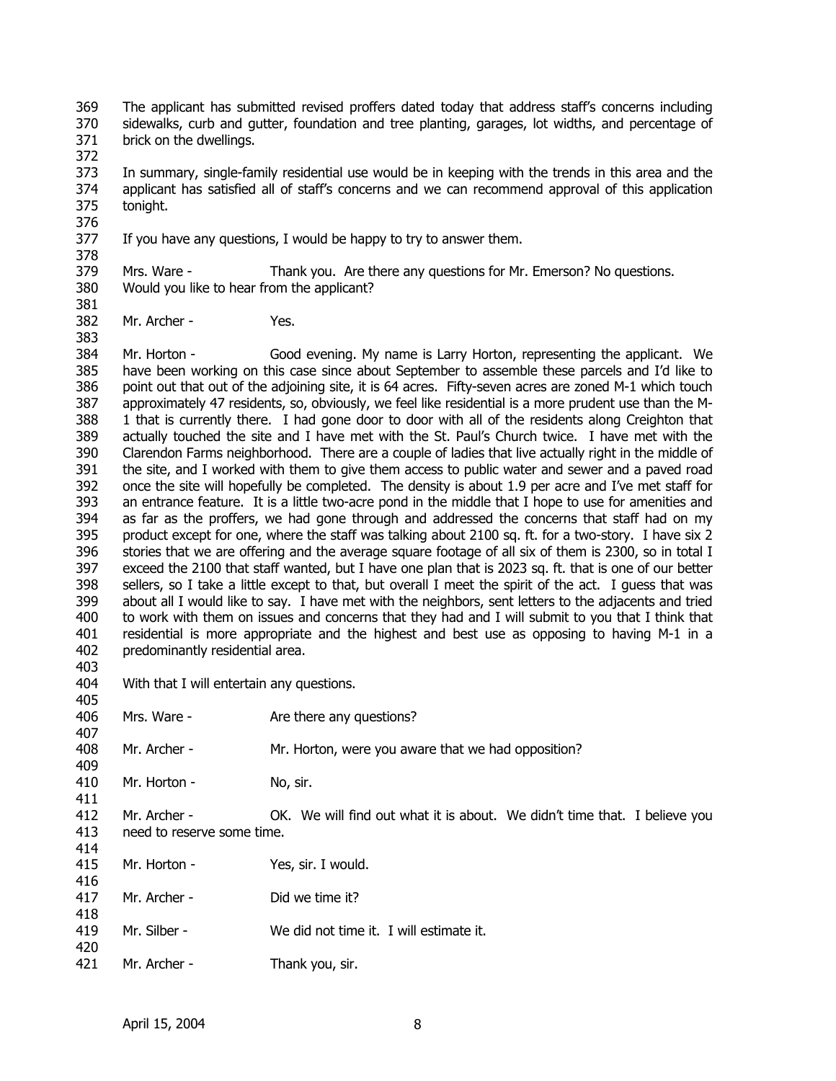369 370 371 The applicant has submitted revised proffers dated today that address staff's concerns including sidewalks, curb and gutter, foundation and tree planting, garages, lot widths, and percentage of brick on the dwellings.

372

373 374 375 In summary, single-family residential use would be in keeping with the trends in this area and the applicant has satisfied all of staff's concerns and we can recommend approval of this application tonight.

- 377 If you have any questions, I would be happy to try to answer them.
- 378 379 380 Mrs. Ware - Thank you. Are there any questions for Mr. Emerson? No questions. Would you like to hear from the applicant?
- 381 382

383

376

Mr. Archer - Yes.

384 385 386 387 388 389 390 391 392 393 394 395 396 397 398 399 400 401 402 Mr. Horton - Good evening. My name is Larry Horton, representing the applicant. We have been working on this case since about September to assemble these parcels and I'd like to point out that out of the adjoining site, it is 64 acres. Fifty-seven acres are zoned M-1 which touch approximately 47 residents, so, obviously, we feel like residential is a more prudent use than the M-1 that is currently there. I had gone door to door with all of the residents along Creighton that actually touched the site and I have met with the St. Paul's Church twice. I have met with the Clarendon Farms neighborhood. There are a couple of ladies that live actually right in the middle of the site, and I worked with them to give them access to public water and sewer and a paved road once the site will hopefully be completed. The density is about 1.9 per acre and I've met staff for an entrance feature. It is a little two-acre pond in the middle that I hope to use for amenities and as far as the proffers, we had gone through and addressed the concerns that staff had on my product except for one, where the staff was talking about 2100 sq. ft. for a two-story. I have six 2 stories that we are offering and the average square footage of all six of them is 2300, so in total I exceed the 2100 that staff wanted, but I have one plan that is 2023 sq. ft. that is one of our better sellers, so I take a little except to that, but overall I meet the spirit of the act. I guess that was about all I would like to say. I have met with the neighbors, sent letters to the adjacents and tried to work with them on issues and concerns that they had and I will submit to you that I think that residential is more appropriate and the highest and best use as opposing to having M-1 in a predominantly residential area.

403

405

409

404 With that I will entertain any questions.

|     | 406 Mrs. Ware - | Are there any questions? |
|-----|-----------------|--------------------------|
| 407 |                 |                          |

408 Mr. Archer - Mr. Horton, were you aware that we had opposition?

410 411 Mr. Horton - No, sir.

- 412 413 Mr. Archer - OK. We will find out what it is about. We didn't time that. I believe you need to reserve some time.
- 414 415 Mr. Horton - Yes, sir. I would.
- 416 417 Mr. Archer - Did we time it?
- 418 419 Mr. Silber - We did not time it. I will estimate it.
- 420 421 Mr. Archer - Thank you, sir.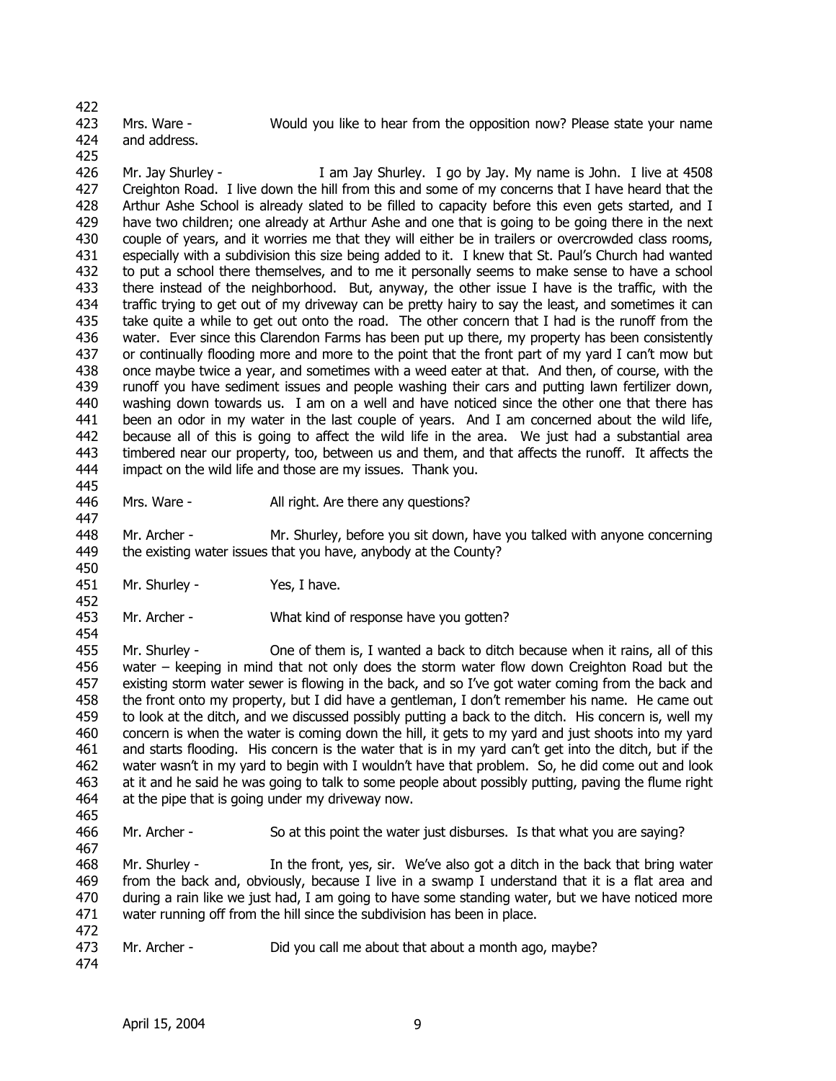422

#### 423

Mrs. Ware - Would you like to hear from the opposition now? Please state your name

424 and address.

425

426 427 428 429 430 431 432 433 434 435 436 437 438 439 440 441 442 443 444 Mr. Jay Shurley - I am Jay Shurley. I go by Jay. My name is John. I live at 4508 Creighton Road. I live down the hill from this and some of my concerns that I have heard that the Arthur Ashe School is already slated to be filled to capacity before this even gets started, and I have two children; one already at Arthur Ashe and one that is going to be going there in the next couple of years, and it worries me that they will either be in trailers or overcrowded class rooms, especially with a subdivision this size being added to it. I knew that St. Paul's Church had wanted to put a school there themselves, and to me it personally seems to make sense to have a school there instead of the neighborhood. But, anyway, the other issue I have is the traffic, with the traffic trying to get out of my driveway can be pretty hairy to say the least, and sometimes it can take quite a while to get out onto the road. The other concern that I had is the runoff from the water. Ever since this Clarendon Farms has been put up there, my property has been consistently or continually flooding more and more to the point that the front part of my yard I can't mow but once maybe twice a year, and sometimes with a weed eater at that. And then, of course, with the runoff you have sediment issues and people washing their cars and putting lawn fertilizer down, washing down towards us. I am on a well and have noticed since the other one that there has been an odor in my water in the last couple of years. And I am concerned about the wild life, because all of this is going to affect the wild life in the area. We just had a substantial area timbered near our property, too, between us and them, and that affects the runoff. It affects the impact on the wild life and those are my issues. Thank you.

446 Mrs. Ware - All right. Are there any questions?

448 449 Mr. Archer - Mr. Shurley, before you sit down, have you talked with anyone concerning the existing water issues that you have, anybody at the County?

- 451 Mr. Shurley - Yes, I have.
- 453 Mr. Archer - What kind of response have you gotten?

455 456 457 458 459 460 461 462 463 464 Mr. Shurley - One of them is, I wanted a back to ditch because when it rains, all of this water – keeping in mind that not only does the storm water flow down Creighton Road but the existing storm water sewer is flowing in the back, and so I've got water coming from the back and the front onto my property, but I did have a gentleman, I don't remember his name. He came out to look at the ditch, and we discussed possibly putting a back to the ditch. His concern is, well my concern is when the water is coming down the hill, it gets to my yard and just shoots into my yard and starts flooding. His concern is the water that is in my yard can't get into the ditch, but if the water wasn't in my yard to begin with I wouldn't have that problem. So, he did come out and look at it and he said he was going to talk to some people about possibly putting, paving the flume right at the pipe that is going under my driveway now.

465

445

447

450

452

454

466 467 Mr. Archer - So at this point the water just disburses. Is that what you are saying?

468 469 470 471 472 Mr. Shurley - In the front, yes, sir. We've also got a ditch in the back that bring water from the back and, obviously, because I live in a swamp I understand that it is a flat area and during a rain like we just had, I am going to have some standing water, but we have noticed more water running off from the hill since the subdivision has been in place.

- 473 Mr. Archer - Did you call me about that about a month ago, maybe?
- 474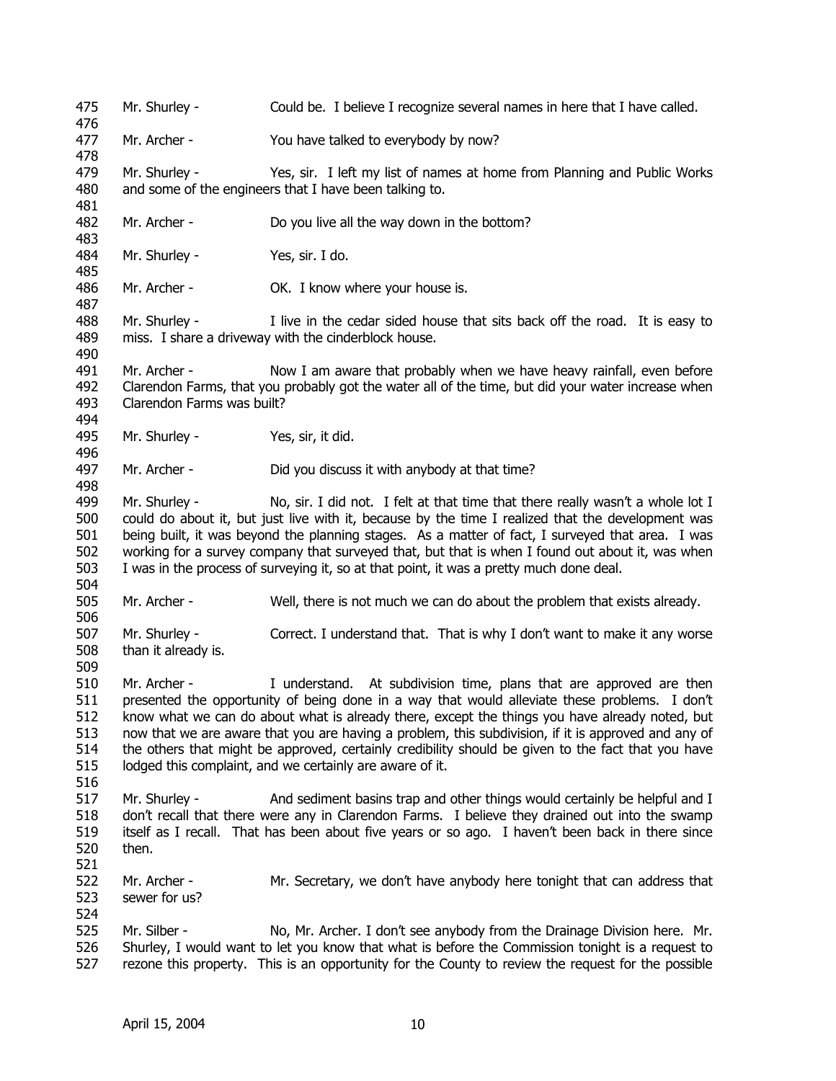475 476 477 478 479 480 481 482 483 484 485 486 487 488 489 490 491 492 493 494 495 496 497 498 499 500 501 502 503 504 505 506 507 508 509 510 511 512 513 514 515 516 517 518 519 520 521 522 523 524 525 526 527 Mr. Shurley - Could be. I believe I recognize several names in here that I have called. Mr. Archer - You have talked to everybody by now? Mr. Shurley - Yes, sir. I left my list of names at home from Planning and Public Works and some of the engineers that I have been talking to. Mr. Archer - Do you live all the way down in the bottom? Mr. Shurley - Yes, sir. I do. Mr. Archer - **OK.** I know where your house is. Mr. Shurley - I live in the cedar sided house that sits back off the road. It is easy to miss. I share a driveway with the cinderblock house. Mr. Archer - Now I am aware that probably when we have heavy rainfall, even before Clarendon Farms, that you probably got the water all of the time, but did your water increase when Clarendon Farms was built? Mr. Shurley - Yes, sir, it did. Mr. Archer - Did you discuss it with anybody at that time? Mr. Shurley - No, sir. I did not. I felt at that time that there really wasn't a whole lot I could do about it, but just live with it, because by the time I realized that the development was being built, it was beyond the planning stages. As a matter of fact, I surveyed that area. I was working for a survey company that surveyed that, but that is when I found out about it, was when I was in the process of surveying it, so at that point, it was a pretty much done deal. Mr. Archer - Well, there is not much we can do about the problem that exists already. Mr. Shurley - Correct. I understand that. That is why I don't want to make it any worse than it already is. Mr. Archer - I understand. At subdivision time, plans that are approved are then presented the opportunity of being done in a way that would alleviate these problems. I don't know what we can do about what is already there, except the things you have already noted, but now that we are aware that you are having a problem, this subdivision, if it is approved and any of the others that might be approved, certainly credibility should be given to the fact that you have lodged this complaint, and we certainly are aware of it. Mr. Shurley - And sediment basins trap and other things would certainly be helpful and I don't recall that there were any in Clarendon Farms. I believe they drained out into the swamp itself as I recall. That has been about five years or so ago. I haven't been back in there since then. Mr. Archer - Mr. Secretary, we don't have anybody here tonight that can address that sewer for us? Mr. Silber - No, Mr. Archer. I don't see anybody from the Drainage Division here. Mr. Shurley, I would want to let you know that what is before the Commission tonight is a request to rezone this property. This is an opportunity for the County to review the request for the possible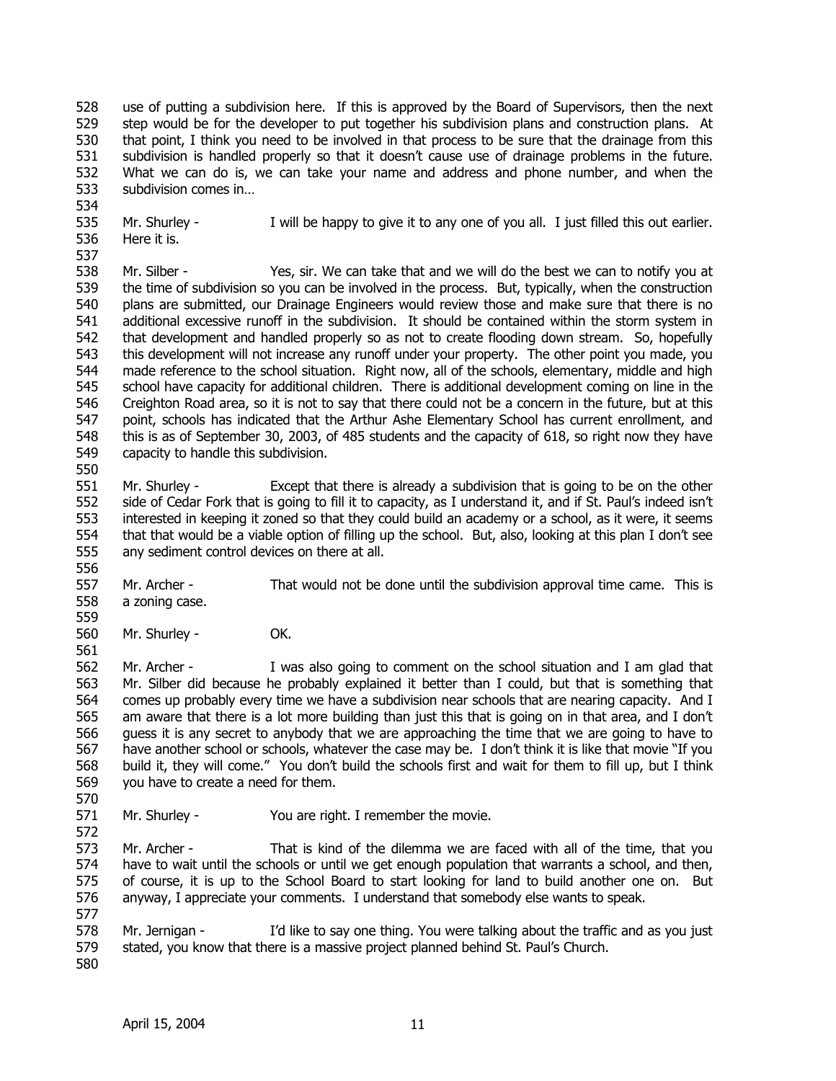528 529 530 531 532 533 use of putting a subdivision here. If this is approved by the Board of Supervisors, then the next step would be for the developer to put together his subdivision plans and construction plans. At that point, I think you need to be involved in that process to be sure that the drainage from this subdivision is handled properly so that it doesn't cause use of drainage problems in the future. What we can do is, we can take your name and address and phone number, and when the subdivision comes in…

534

550

535 536 537 Mr. Shurley - I will be happy to give it to any one of you all. I just filled this out earlier. Here it is.

538 539 540 541 542 543 544 545 546 547 548 549 Mr. Silber - Yes, sir. We can take that and we will do the best we can to notify you at the time of subdivision so you can be involved in the process. But, typically, when the construction plans are submitted, our Drainage Engineers would review those and make sure that there is no additional excessive runoff in the subdivision. It should be contained within the storm system in that development and handled properly so as not to create flooding down stream. So, hopefully this development will not increase any runoff under your property. The other point you made, you made reference to the school situation. Right now, all of the schools, elementary, middle and high school have capacity for additional children. There is additional development coming on line in the Creighton Road area, so it is not to say that there could not be a concern in the future, but at this point, schools has indicated that the Arthur Ashe Elementary School has current enrollment, and this is as of September 30, 2003, of 485 students and the capacity of 618, so right now they have capacity to handle this subdivision.

551 552 553 554 555 Mr. Shurley - Except that there is already a subdivision that is going to be on the other side of Cedar Fork that is going to fill it to capacity, as I understand it, and if St. Paul's indeed isn't interested in keeping it zoned so that they could build an academy or a school, as it were, it seems that that would be a viable option of filling up the school. But, also, looking at this plan I don't see any sediment control devices on there at all.

556 557 558 Mr. Archer - That would not be done until the subdivision approval time came. This is a zoning case.

559 560 Mr. Shurley - **OK.** 

561 562 563 564 565 566 567 568 569 Mr. Archer - I was also going to comment on the school situation and I am glad that Mr. Silber did because he probably explained it better than I could, but that is something that comes up probably every time we have a subdivision near schools that are nearing capacity. And I am aware that there is a lot more building than just this that is going on in that area, and I don't guess it is any secret to anybody that we are approaching the time that we are going to have to have another school or schools, whatever the case may be. I don't think it is like that movie "If you build it, they will come." You don't build the schools first and wait for them to fill up, but I think you have to create a need for them.

570

571 572 Mr. Shurley - You are right. I remember the movie.

573 574 575 576 Mr. Archer - That is kind of the dilemma we are faced with all of the time, that you have to wait until the schools or until we get enough population that warrants a school, and then, of course, it is up to the School Board to start looking for land to build another one on. But anyway, I appreciate your comments. I understand that somebody else wants to speak.

577 578 579 580 Mr. Jernigan - I'd like to say one thing. You were talking about the traffic and as you just stated, you know that there is a massive project planned behind St. Paul's Church.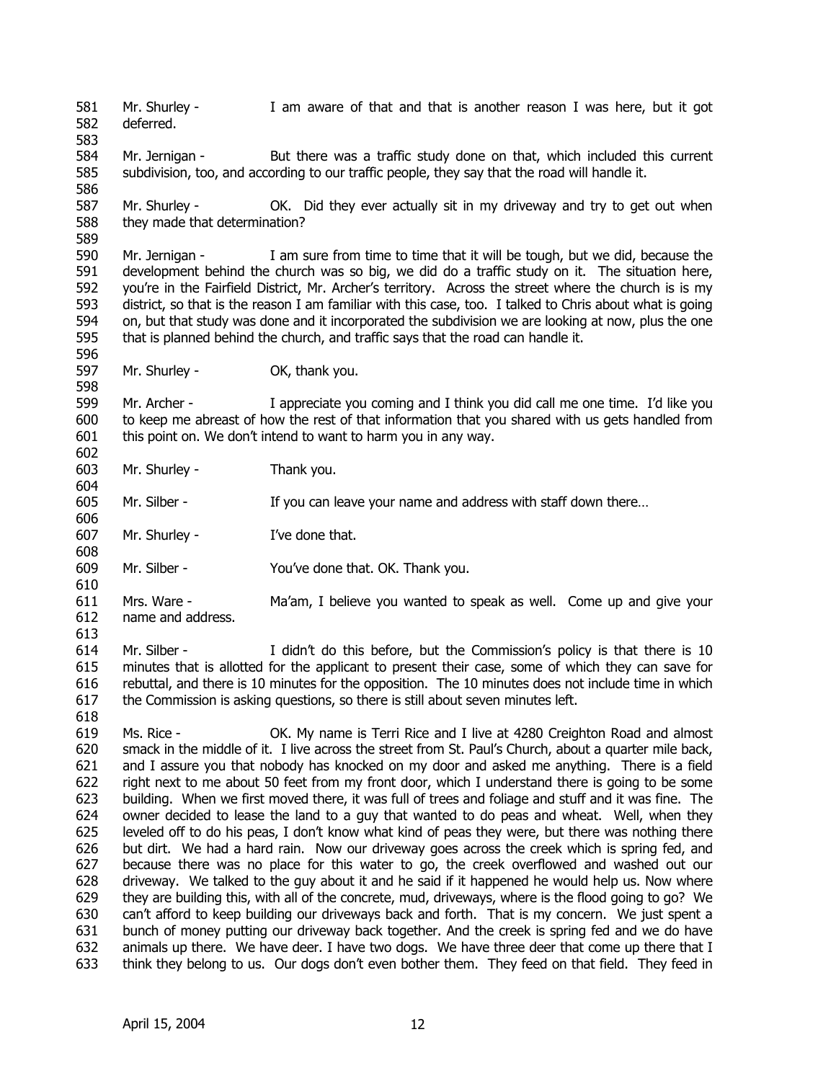581 582 583 Mr. Shurley - I am aware of that and that is another reason I was here, but it got deferred.

584 585 586 Mr. Jernigan - But there was a traffic study done on that, which included this current subdivision, too, and according to our traffic people, they say that the road will handle it.

587 588 Mr. Shurley - CK. Did they ever actually sit in my driveway and try to get out when they made that determination?

590 591 592 593 594 595 Mr. Jernigan - I am sure from time to time that it will be tough, but we did, because the development behind the church was so big, we did do a traffic study on it. The situation here, you're in the Fairfield District, Mr. Archer's territory. Across the street where the church is is my district, so that is the reason I am familiar with this case, too. I talked to Chris about what is going on, but that study was done and it incorporated the subdivision we are looking at now, plus the one that is planned behind the church, and traffic says that the road can handle it.

597 Mr. Shurley - OK, thank you.

599 600 601 602 Mr. Archer - I appreciate you coming and I think you did call me one time. I'd like you to keep me abreast of how the rest of that information that you shared with us gets handled from this point on. We don't intend to want to harm you in any way.

603 Mr. Shurley - Thank you.

605 Mr. Silber - If you can leave your name and address with staff down there...

607 Mr. Shurley - I've done that.

609 Mr. Silber - You've done that. OK. Thank you.

611 612 Mrs. Ware - Ma'am, I believe you wanted to speak as well. Come up and give your name and address.

613

589

596

598

604

606

608

610

618

614 615 616 617 Mr. Silber - I didn't do this before, but the Commission's policy is that there is 10 minutes that is allotted for the applicant to present their case, some of which they can save for rebuttal, and there is 10 minutes for the opposition. The 10 minutes does not include time in which the Commission is asking questions, so there is still about seven minutes left.

619 620 621 622 623 624 625 626 627 628 629 630 631 632 633 Ms. Rice - OK. My name is Terri Rice and I live at 4280 Creighton Road and almost smack in the middle of it. I live across the street from St. Paul's Church, about a quarter mile back, and I assure you that nobody has knocked on my door and asked me anything. There is a field right next to me about 50 feet from my front door, which I understand there is going to be some building. When we first moved there, it was full of trees and foliage and stuff and it was fine. The owner decided to lease the land to a guy that wanted to do peas and wheat. Well, when they leveled off to do his peas, I don't know what kind of peas they were, but there was nothing there but dirt. We had a hard rain. Now our driveway goes across the creek which is spring fed, and because there was no place for this water to go, the creek overflowed and washed out our driveway. We talked to the guy about it and he said if it happened he would help us. Now where they are building this, with all of the concrete, mud, driveways, where is the flood going to go? We can't afford to keep building our driveways back and forth. That is my concern. We just spent a bunch of money putting our driveway back together. And the creek is spring fed and we do have animals up there. We have deer. I have two dogs. We have three deer that come up there that I think they belong to us. Our dogs don't even bother them. They feed on that field. They feed in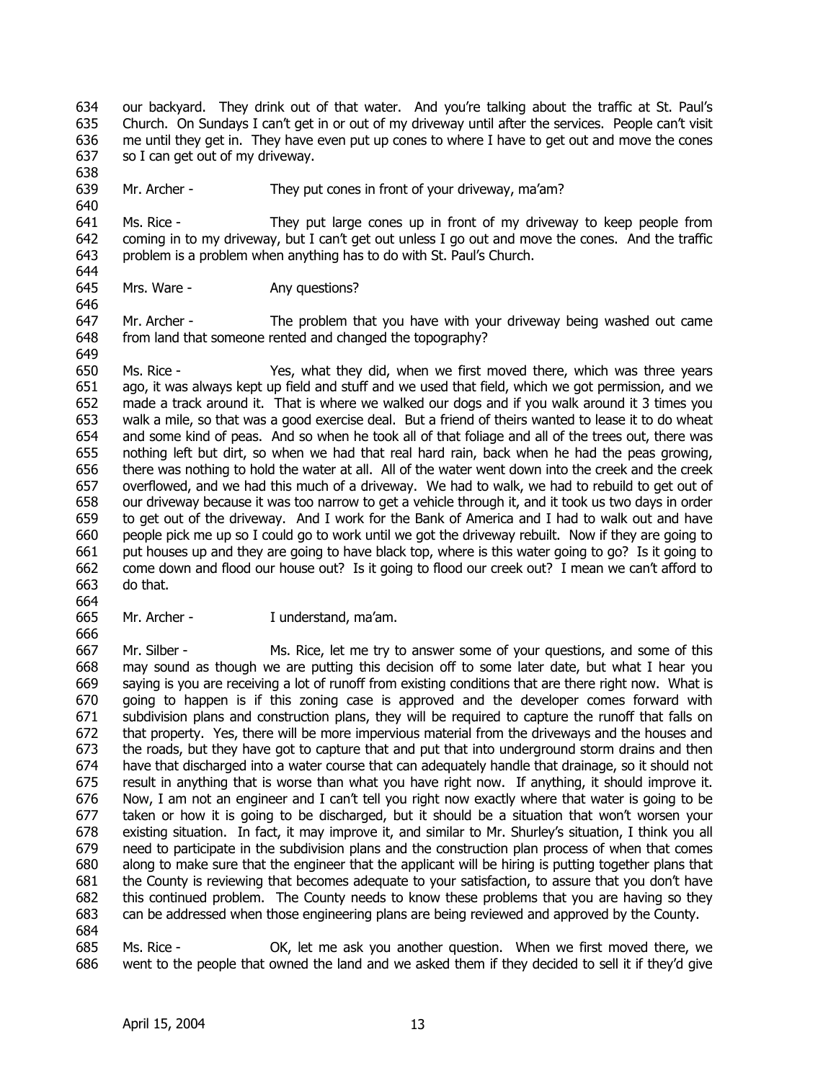634 635 636 637 our backyard. They drink out of that water. And you're talking about the traffic at St. Paul's Church. On Sundays I can't get in or out of my driveway until after the services. People can't visit me until they get in. They have even put up cones to where I have to get out and move the cones so I can get out of my driveway.

639 Mr. Archer - They put cones in front of your driveway, ma'am?

641 642 643 644 Ms. Rice - They put large cones up in front of my driveway to keep people from coming in to my driveway, but I can't get out unless I go out and move the cones. And the traffic problem is a problem when anything has to do with St. Paul's Church.

645 Mrs. Ware - Any questions?

647 648 Mr. Archer - The problem that you have with your driveway being washed out came from land that someone rented and changed the topography?

650 651 652 653 654 655 656 657 658 659 660 661 662 663 Ms. Rice - Yes, what they did, when we first moved there, which was three years ago, it was always kept up field and stuff and we used that field, which we got permission, and we made a track around it. That is where we walked our dogs and if you walk around it 3 times you walk a mile, so that was a good exercise deal. But a friend of theirs wanted to lease it to do wheat and some kind of peas. And so when he took all of that foliage and all of the trees out, there was nothing left but dirt, so when we had that real hard rain, back when he had the peas growing, there was nothing to hold the water at all. All of the water went down into the creek and the creek overflowed, and we had this much of a driveway. We had to walk, we had to rebuild to get out of our driveway because it was too narrow to get a vehicle through it, and it took us two days in order to get out of the driveway. And I work for the Bank of America and I had to walk out and have people pick me up so I could go to work until we got the driveway rebuilt. Now if they are going to put houses up and they are going to have black top, where is this water going to go? Is it going to come down and flood our house out? Is it going to flood our creek out? I mean we can't afford to do that.

664

666

638

640

646

649

665 Mr. Archer - I understand, ma'am.

667 668 669 670 671 672 673 674 675 676 677 678 679 680 681 682 683 684 Mr. Silber - Ms. Rice, let me try to answer some of your questions, and some of this may sound as though we are putting this decision off to some later date, but what I hear you saying is you are receiving a lot of runoff from existing conditions that are there right now. What is going to happen is if this zoning case is approved and the developer comes forward with subdivision plans and construction plans, they will be required to capture the runoff that falls on that property. Yes, there will be more impervious material from the driveways and the houses and the roads, but they have got to capture that and put that into underground storm drains and then have that discharged into a water course that can adequately handle that drainage, so it should not result in anything that is worse than what you have right now. If anything, it should improve it. Now, I am not an engineer and I can't tell you right now exactly where that water is going to be taken or how it is going to be discharged, but it should be a situation that won't worsen your existing situation. In fact, it may improve it, and similar to Mr. Shurley's situation, I think you all need to participate in the subdivision plans and the construction plan process of when that comes along to make sure that the engineer that the applicant will be hiring is putting together plans that the County is reviewing that becomes adequate to your satisfaction, to assure that you don't have this continued problem. The County needs to know these problems that you are having so they can be addressed when those engineering plans are being reviewed and approved by the County.

685 686 Ms. Rice - OK, let me ask you another question. When we first moved there, we went to the people that owned the land and we asked them if they decided to sell it if they'd give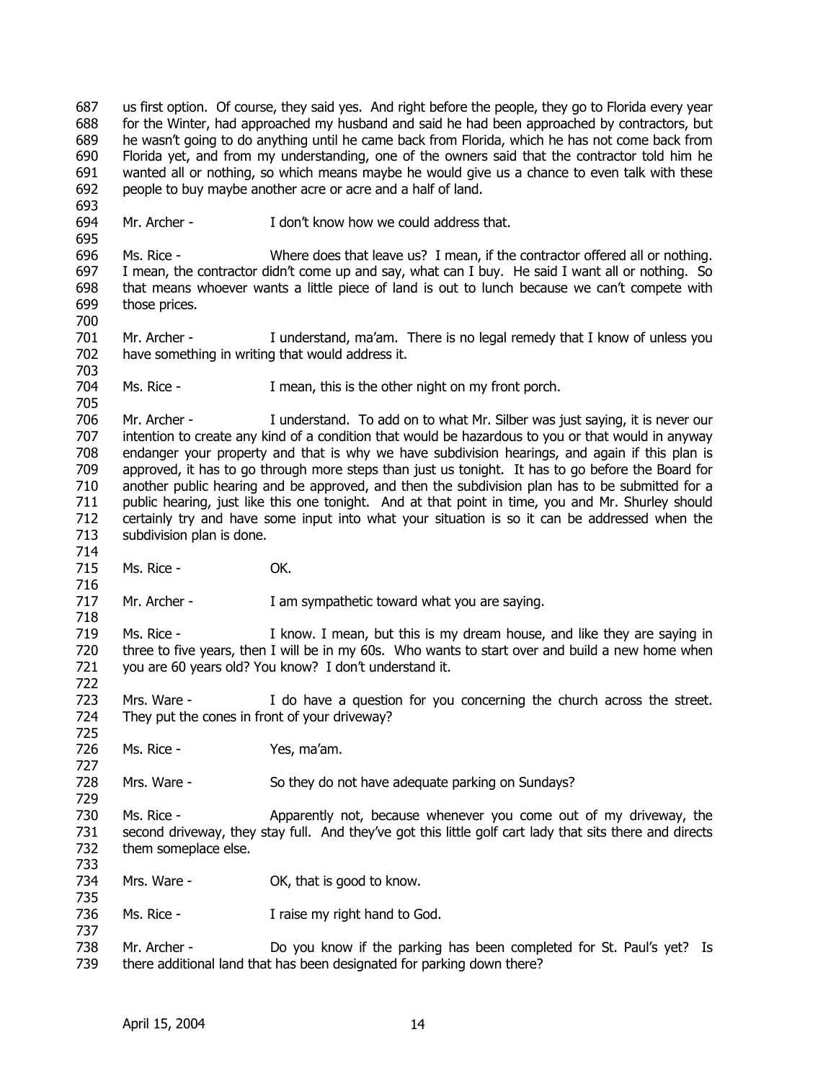687 688 689 690 691 692 us first option. Of course, they said yes. And right before the people, they go to Florida every year for the Winter, had approached my husband and said he had been approached by contractors, but he wasn't going to do anything until he came back from Florida, which he has not come back from Florida yet, and from my understanding, one of the owners said that the contractor told him he wanted all or nothing, so which means maybe he would give us a chance to even talk with these people to buy maybe another acre or acre and a half of land.

694 Mr. Archer - The Muslim on the I don't know how we could address that.

696 697 698 699 Ms. Rice - Where does that leave us? I mean, if the contractor offered all or nothing. I mean, the contractor didn't come up and say, what can I buy. He said I want all or nothing. So that means whoever wants a little piece of land is out to lunch because we can't compete with those prices.

701 702 703 Mr. Archer - I understand, ma'am. There is no legal remedy that I know of unless you have something in writing that would address it.

704 Ms. Rice - I mean, this is the other night on my front porch.

706 707 708 709 710 711 712 713 Mr. Archer - I understand. To add on to what Mr. Silber was just saying, it is never our intention to create any kind of a condition that would be hazardous to you or that would in anyway endanger your property and that is why we have subdivision hearings, and again if this plan is approved, it has to go through more steps than just us tonight. It has to go before the Board for another public hearing and be approved, and then the subdivision plan has to be submitted for a public hearing, just like this one tonight. And at that point in time, you and Mr. Shurley should certainly try and have some input into what your situation is so it can be addressed when the subdivision plan is done.

714 715 Ms. Rice - **OK.** 

693

695

700

705

718

725

727

729

735

737

716 717 Mr. Archer - I am sympathetic toward what you are saying.

719 720 721 722 Ms. Rice - I know. I mean, but this is my dream house, and like they are saying in three to five years, then I will be in my 60s. Who wants to start over and build a new home when you are 60 years old? You know? I don't understand it.

723 724 Mrs. Ware - I do have a question for you concerning the church across the street. They put the cones in front of your driveway?

726 Ms. Rice - Yes, ma'am.

728 Mrs. Ware - So they do not have adequate parking on Sundays?

730 731 732 733 Ms. Rice - Apparently not, because whenever you come out of my driveway, the second driveway, they stay full. And they've got this little golf cart lady that sits there and directs them someplace else.

- 734 Mrs. Ware - OK, that is good to know.
- 736 Ms. Rice - Traise my right hand to God.

738 739 Mr. Archer - Do you know if the parking has been completed for St. Paul's yet? Is there additional land that has been designated for parking down there?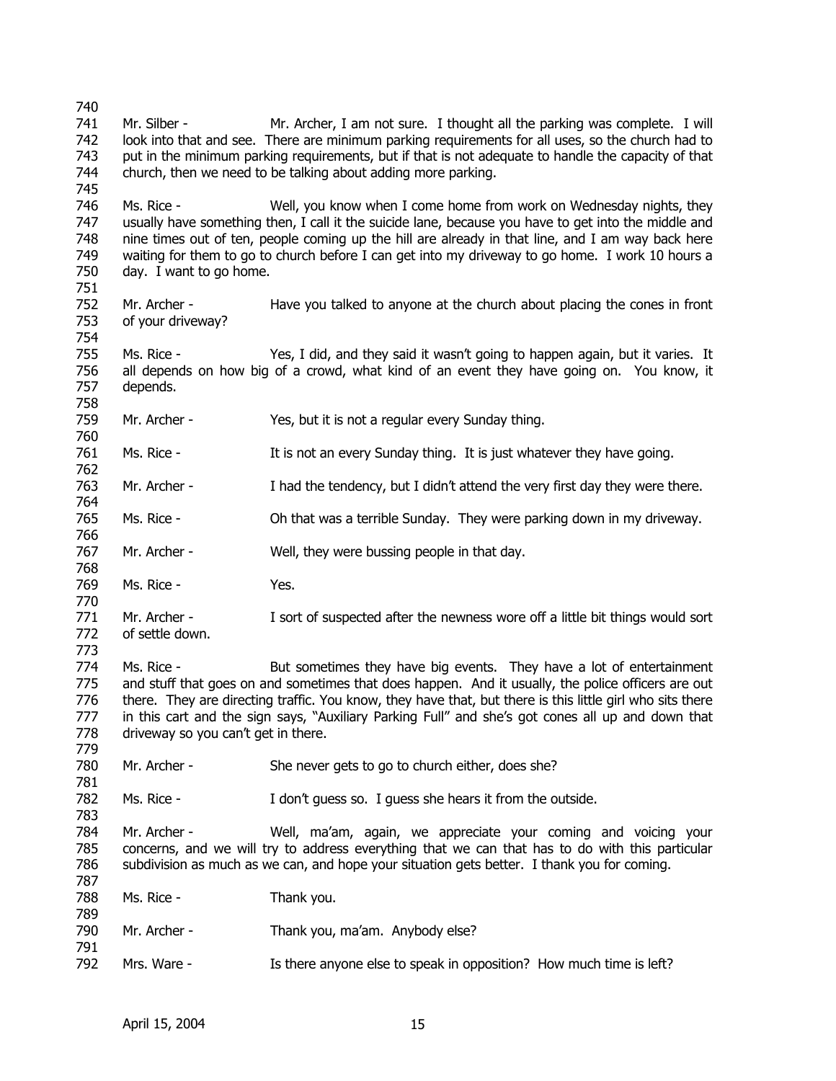740 741 742 743 744 745 746 747 748 749 750 751 752 753 754 755 756 757 758 759 760 761 762 763 764 765 766 767 768 769 770 771 772 773 774 775 776 777 778 779 780 781 782 783 784 785 786 787 788 789 790 791 792 Mr. Silber - Mr. Archer, I am not sure. I thought all the parking was complete. I will look into that and see. There are minimum parking requirements for all uses, so the church had to put in the minimum parking requirements, but if that is not adequate to handle the capacity of that church, then we need to be talking about adding more parking. Ms. Rice - Well, you know when I come home from work on Wednesday nights, they usually have something then, I call it the suicide lane, because you have to get into the middle and nine times out of ten, people coming up the hill are already in that line, and I am way back here waiting for them to go to church before I can get into my driveway to go home. I work 10 hours a day. I want to go home. Mr. Archer - Have you talked to anyone at the church about placing the cones in front of your driveway? Ms. Rice - Yes, I did, and they said it wasn't going to happen again, but it varies. It all depends on how big of a crowd, what kind of an event they have going on. You know, it depends. Mr. Archer - Yes, but it is not a regular every Sunday thing. Ms. Rice - It is not an every Sunday thing. It is just whatever they have going. Mr. Archer - I had the tendency, but I didn't attend the very first day they were there. Ms. Rice - Oh that was a terrible Sunday. They were parking down in my driveway. Mr. Archer - Well, they were bussing people in that day. Ms. Rice - Yes. Mr. Archer - I sort of suspected after the newness wore off a little bit things would sort of settle down. Ms. Rice - But sometimes they have big events. They have a lot of entertainment and stuff that goes on and sometimes that does happen. And it usually, the police officers are out there. They are directing traffic. You know, they have that, but there is this little girl who sits there in this cart and the sign says, "Auxiliary Parking Full" and she's got cones all up and down that driveway so you can't get in there. Mr. Archer - She never gets to go to church either, does she? Ms. Rice - I don't guess so. I guess she hears it from the outside. Mr. Archer - Well, ma'am, again, we appreciate your coming and voicing your concerns, and we will try to address everything that we can that has to do with this particular subdivision as much as we can, and hope your situation gets better. I thank you for coming. Ms. Rice - Thank you. Mr. Archer - Thank you, ma'am. Anybody else? Mrs. Ware - Is there anyone else to speak in opposition? How much time is left?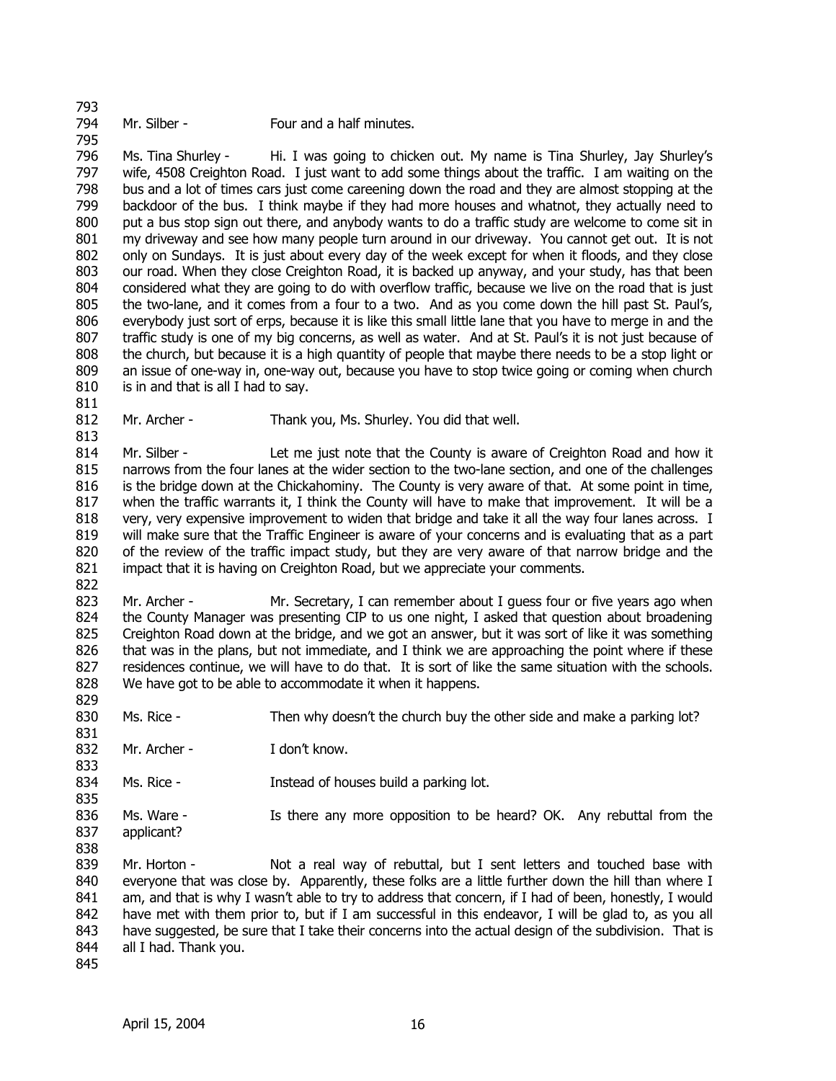793 794

795

811

813

829

831

833

835

838

Mr. Silber - Four and a half minutes.

796 797 798 799 800 801 802 803 804 805 806 807 808 809 810 Ms. Tina Shurley - Hi. I was going to chicken out. My name is Tina Shurley, Jay Shurley's wife, 4508 Creighton Road. I just want to add some things about the traffic. I am waiting on the bus and a lot of times cars just come careening down the road and they are almost stopping at the backdoor of the bus. I think maybe if they had more houses and whatnot, they actually need to put a bus stop sign out there, and anybody wants to do a traffic study are welcome to come sit in my driveway and see how many people turn around in our driveway. You cannot get out. It is not only on Sundays. It is just about every day of the week except for when it floods, and they close our road. When they close Creighton Road, it is backed up anyway, and your study, has that been considered what they are going to do with overflow traffic, because we live on the road that is just the two-lane, and it comes from a four to a two. And as you come down the hill past St. Paul's, everybody just sort of erps, because it is like this small little lane that you have to merge in and the traffic study is one of my big concerns, as well as water. And at St. Paul's it is not just because of the church, but because it is a high quantity of people that maybe there needs to be a stop light or an issue of one-way in, one-way out, because you have to stop twice going or coming when church is in and that is all I had to say.

812 Mr. Archer - Thank you, Ms. Shurley. You did that well.

814 815 816 817 818 819 820 821 822 Mr. Silber - Let me just note that the County is aware of Creighton Road and how it narrows from the four lanes at the wider section to the two-lane section, and one of the challenges is the bridge down at the Chickahominy. The County is very aware of that. At some point in time, when the traffic warrants it, I think the County will have to make that improvement. It will be a very, very expensive improvement to widen that bridge and take it all the way four lanes across. I will make sure that the Traffic Engineer is aware of your concerns and is evaluating that as a part of the review of the traffic impact study, but they are very aware of that narrow bridge and the impact that it is having on Creighton Road, but we appreciate your comments.

823 824 825 826 827 828 Mr. Archer - Mr. Secretary, I can remember about I guess four or five years ago when the County Manager was presenting CIP to us one night, I asked that question about broadening Creighton Road down at the bridge, and we got an answer, but it was sort of like it was something that was in the plans, but not immediate, and I think we are approaching the point where if these residences continue, we will have to do that. It is sort of like the same situation with the schools. We have got to be able to accommodate it when it happens.

- 830 Ms. Rice - Then why doesn't the church buy the other side and make a parking lot?
- 832 Mr. Archer - T don't know.
- 834 Ms. Rice - This is a Instead of houses build a parking lot.
- 836 837 Ms. Ware - Is there any more opposition to be heard? OK. Any rebuttal from the applicant?
- 839 840 841 842 843 844 Mr. Horton - Not a real way of rebuttal, but I sent letters and touched base with everyone that was close by. Apparently, these folks are a little further down the hill than where I am, and that is why I wasn't able to try to address that concern, if I had of been, honestly, I would have met with them prior to, but if I am successful in this endeavor, I will be glad to, as you all have suggested, be sure that I take their concerns into the actual design of the subdivision. That is all I had. Thank you.
- 845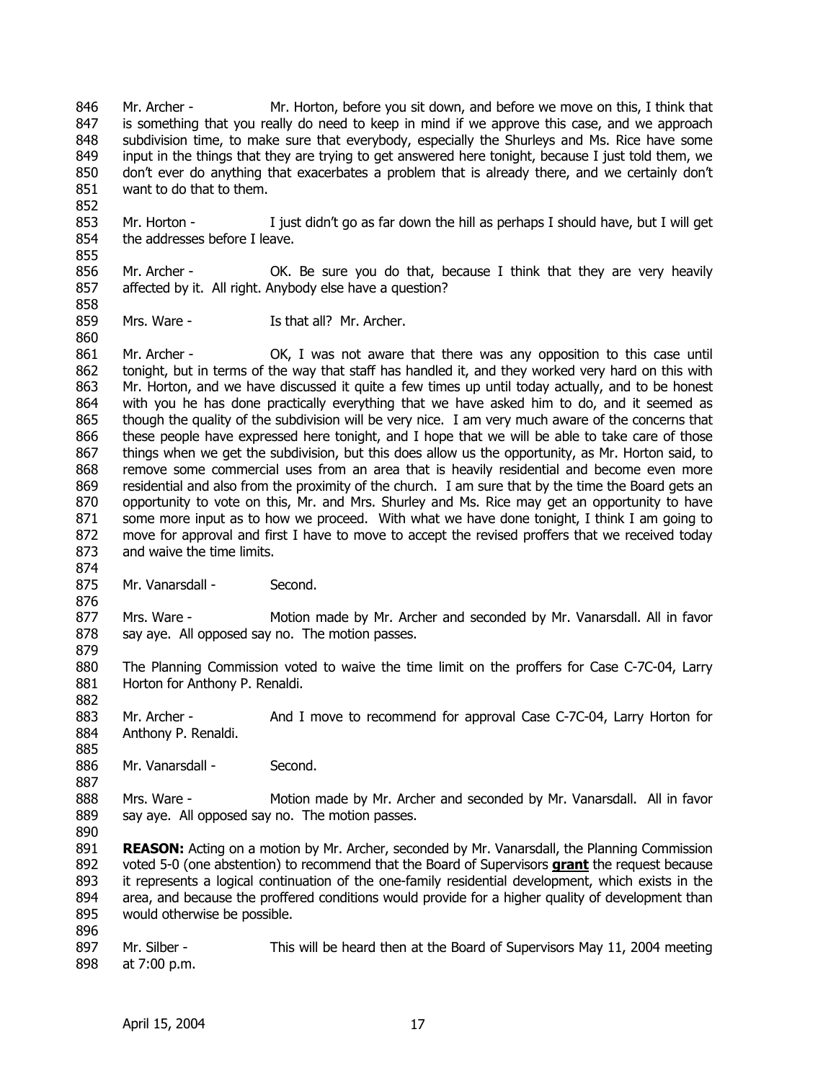846 847 848 849 850 851 Mr. Archer - Mr. Horton, before you sit down, and before we move on this, I think that is something that you really do need to keep in mind if we approve this case, and we approach subdivision time, to make sure that everybody, especially the Shurleys and Ms. Rice have some input in the things that they are trying to get answered here tonight, because I just told them, we don't ever do anything that exacerbates a problem that is already there, and we certainly don't want to do that to them.

853 854 855 Mr. Horton - I just didn't go as far down the hill as perhaps I should have, but I will get the addresses before I leave.

856 857 858 Mr. Archer - OK. Be sure you do that, because I think that they are very heavily affected by it. All right. Anybody else have a question?

859 Mrs. Ware - The U.S. that all? Mr. Archer.

861 862 863 864 865 866 867 868 869 870 871 872 873 Mr. Archer - OK, I was not aware that there was any opposition to this case until tonight, but in terms of the way that staff has handled it, and they worked very hard on this with Mr. Horton, and we have discussed it quite a few times up until today actually, and to be honest with you he has done practically everything that we have asked him to do, and it seemed as though the quality of the subdivision will be very nice. I am very much aware of the concerns that these people have expressed here tonight, and I hope that we will be able to take care of those things when we get the subdivision, but this does allow us the opportunity, as Mr. Horton said, to remove some commercial uses from an area that is heavily residential and become even more residential and also from the proximity of the church. I am sure that by the time the Board gets an opportunity to vote on this, Mr. and Mrs. Shurley and Ms. Rice may get an opportunity to have some more input as to how we proceed. With what we have done tonight, I think I am going to move for approval and first I have to move to accept the revised proffers that we received today and waive the time limits.

875 Mr. Vanarsdall - Second.

877 878 Mrs. Ware - Motion made by Mr. Archer and seconded by Mr. Vanarsdall. All in favor say aye. All opposed say no. The motion passes.

880 881 The Planning Commission voted to waive the time limit on the proffers for Case C-7C-04, Larry Horton for Anthony P. Renaldi.

883 884 Mr. Archer - And I move to recommend for approval Case C-7C-04, Larry Horton for Anthony P. Renaldi.

886 Mr. Vanarsdall - Second.

888 889 Mrs. Ware - Motion made by Mr. Archer and seconded by Mr. Vanarsdall. All in favor say aye. All opposed say no. The motion passes.

890

852

860

874

876

879

882

885

887

891 **REASON:** Acting on a motion by Mr. Archer, seconded by Mr. Vanarsdall, the Planning Commission voted 5-0 (one abstention) to recommend that the Board of Supervisors **grant** the request because it represents a logical continuation of the one-family residential development, which exists in the area, and because the proffered conditions would provide for a higher quality of development than would otherwise be possible. 892 893 894 895

896

897 898 Mr. Silber - This will be heard then at the Board of Supervisors May 11, 2004 meeting at 7:00 p.m.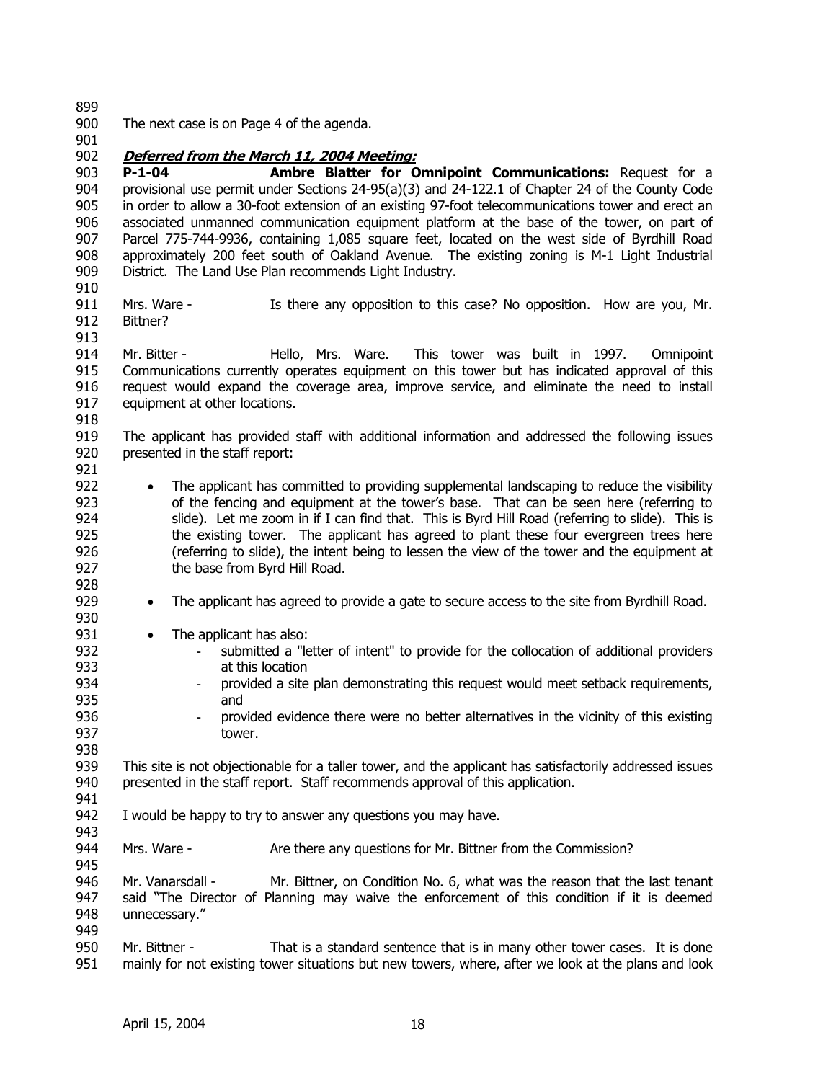899

- 900 The next case is on Page 4 of the agenda.
- 901

## 902 **Deferred from the March 11, 2004 Meeting:**

903 904 905 906 907 908 909 **P-1-04 Ambre Blatter for Omnipoint Communications:** Request for a provisional use permit under Sections 24-95(a)(3) and 24-122.1 of Chapter 24 of the County Code in order to allow a 30-foot extension of an existing 97-foot telecommunications tower and erect an associated unmanned communication equipment platform at the base of the tower, on part of Parcel 775-744-9936, containing 1,085 square feet, located on the west side of Byrdhill Road approximately 200 feet south of Oakland Avenue. The existing zoning is M-1 Light Industrial District. The Land Use Plan recommends Light Industry.

- 910
- 911 912 Mrs. Ware - The Mere any opposition to this case? No opposition. How are you, Mr. Bittner?
- 913

914 915 916 917 Mr. Bitter - Thello, Mrs. Ware. This tower was built in 1997. Omnipoint Communications currently operates equipment on this tower but has indicated approval of this request would expand the coverage area, improve service, and eliminate the need to install equipment at other locations.

918

919 920 921 The applicant has provided staff with additional information and addressed the following issues presented in the staff report:

- 922 923 924 925 926 927 928 • The applicant has committed to providing supplemental landscaping to reduce the visibility of the fencing and equipment at the tower's base. That can be seen here (referring to slide). Let me zoom in if I can find that. This is Byrd Hill Road (referring to slide). This is the existing tower. The applicant has agreed to plant these four evergreen trees here (referring to slide), the intent being to lessen the view of the tower and the equipment at the base from Byrd Hill Road.
	- The applicant has agreed to provide a gate to secure access to the site from Byrdhill Road.
	- The applicant has also:
- 931 932 933

934 935

941

943

945

929 930

- submitted a "letter of intent" to provide for the collocation of additional providers at this location
- provided a site plan demonstrating this request would meet setback requirements, and
- 936 937 938 - provided evidence there were no better alternatives in the vicinity of this existing tower.

939 940 This site is not objectionable for a taller tower, and the applicant has satisfactorily addressed issues presented in the staff report. Staff recommends approval of this application.

- 942 I would be happy to try to answer any questions you may have.
- 944 Mrs. Ware - Are there any questions for Mr. Bittner from the Commission?

946 947 948 949 Mr. Vanarsdall - Mr. Bittner, on Condition No. 6, what was the reason that the last tenant said "The Director of Planning may waive the enforcement of this condition if it is deemed unnecessary."

950 951 Mr. Bittner - That is a standard sentence that is in many other tower cases. It is done mainly for not existing tower situations but new towers, where, after we look at the plans and look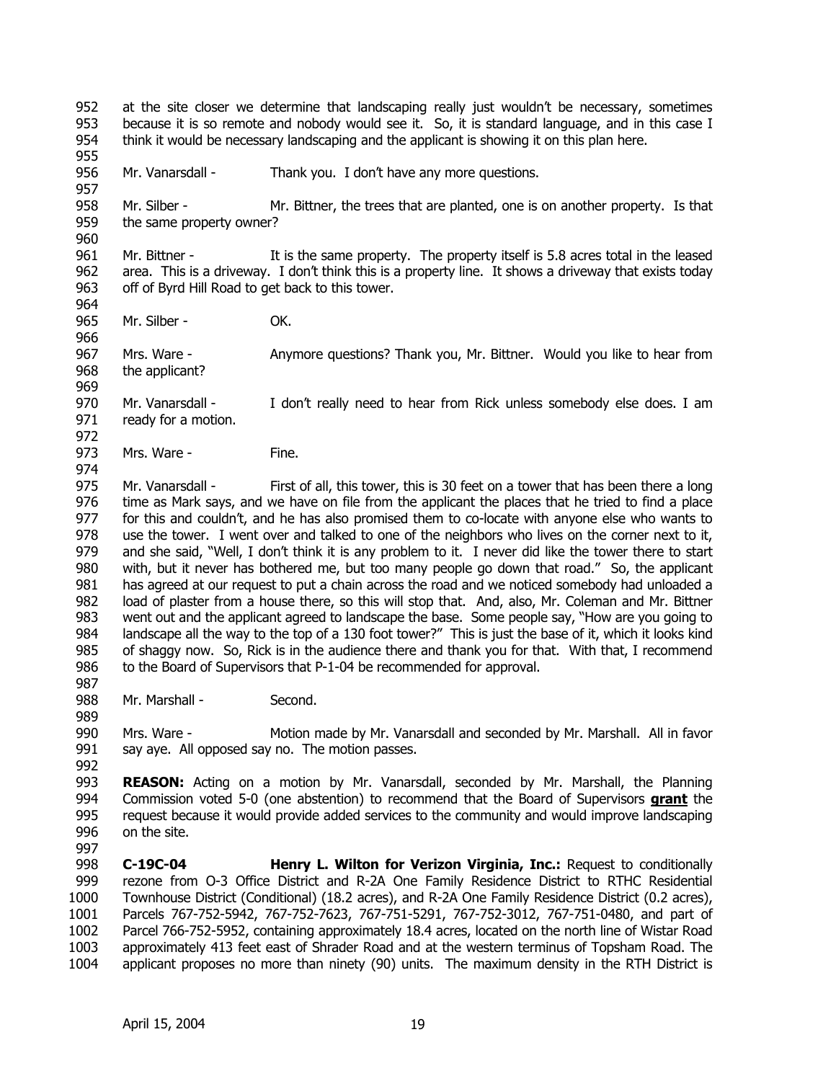952 953 954 955 956 957 958 959 960 961 962 963 964 965 966 967 968 969 970 971 972 973 974 975 976 977 978 979 980 981 982 983 984 985 986 987 988 989 990 991 992 993 at the site closer we determine that landscaping really just wouldn't be necessary, sometimes because it is so remote and nobody would see it. So, it is standard language, and in this case I think it would be necessary landscaping and the applicant is showing it on this plan here. Mr. Vanarsdall - Thank you. I don't have any more questions. Mr. Silber - Mr. Bittner, the trees that are planted, one is on another property. Is that the same property owner? Mr. Bittner - It is the same property. The property itself is 5.8 acres total in the leased area. This is a driveway. I don't think this is a property line. It shows a driveway that exists today off of Byrd Hill Road to get back to this tower. Mr. Silber - **OK.** Mrs. Ware - Anymore questions? Thank you, Mr. Bittner. Would you like to hear from the applicant? Mr. Vanarsdall - I don't really need to hear from Rick unless somebody else does. I am ready for a motion. Mrs. Ware - Fine. Mr. Vanarsdall - First of all, this tower, this is 30 feet on a tower that has been there a long time as Mark says, and we have on file from the applicant the places that he tried to find a place for this and couldn't, and he has also promised them to co-locate with anyone else who wants to use the tower. I went over and talked to one of the neighbors who lives on the corner next to it, and she said, "Well, I don't think it is any problem to it. I never did like the tower there to start with, but it never has bothered me, but too many people go down that road." So, the applicant has agreed at our request to put a chain across the road and we noticed somebody had unloaded a load of plaster from a house there, so this will stop that. And, also, Mr. Coleman and Mr. Bittner went out and the applicant agreed to landscape the base. Some people say, "How are you going to landscape all the way to the top of a 130 foot tower?" This is just the base of it, which it looks kind of shaggy now. So, Rick is in the audience there and thank you for that. With that, I recommend to the Board of Supervisors that P-1-04 be recommended for approval. Mr. Marshall - Second. Mrs. Ware - Motion made by Mr. Vanarsdall and seconded by Mr. Marshall. All in favor say aye. All opposed say no. The motion passes. **REASON:** Acting on a motion by Mr. Vanarsdall, seconded by Mr. Marshall, the Planning Commission voted 5-0 (one abstention) to recommend that the Board of Supervisors **grant** the request because it would provide added services to the community and would improve landscaping on the site. 994 995 996 997 998 999 1000 1001 1002 1003 1004 **C-19C-04 Henry L. Wilton for Verizon Virginia, Inc.:** Request to conditionally rezone from O-3 Office District and R-2A One Family Residence District to RTHC Residential Townhouse District (Conditional) (18.2 acres), and R-2A One Family Residence District (0.2 acres), Parcels 767-752-5942, 767-752-7623, 767-751-5291, 767-752-3012, 767-751-0480, and part of Parcel 766-752-5952, containing approximately 18.4 acres, located on the north line of Wistar Road approximately 413 feet east of Shrader Road and at the western terminus of Topsham Road. The applicant proposes no more than ninety (90) units. The maximum density in the RTH District is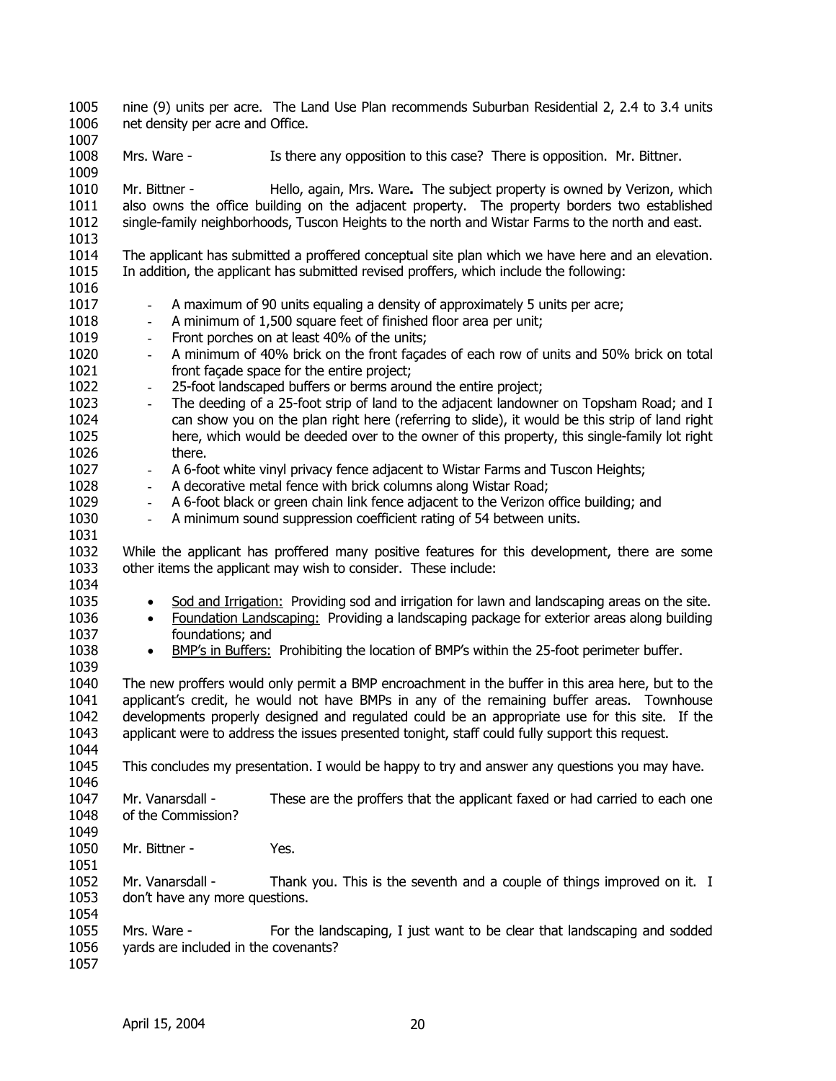1005 1006 1007 1008 1009 1010 1011 1012 1013 1014 1015 1016 1017 1018 1019 1020 1021 1022 1023 1024 1025 1026 1027 1028 1029 1030 1031 1032 1033 1034 nine (9) units per acre. The Land Use Plan recommends Suburban Residential 2, 2.4 to 3.4 units net density per acre and Office. Mrs. Ware - Is there any opposition to this case? There is opposition. Mr. Bittner. Mr. Bittner - Hello, again, Mrs. Ware**.** The subject property is owned by Verizon, which also owns the office building on the adjacent property. The property borders two established single-family neighborhoods, Tuscon Heights to the north and Wistar Farms to the north and east. The applicant has submitted a proffered conceptual site plan which we have here and an elevation. In addition, the applicant has submitted revised proffers, which include the following: - A maximum of 90 units equaling a density of approximately 5 units per acre; - A minimum of 1,500 square feet of finished floor area per unit; Front porches on at least 40% of the units; - A minimum of 40% brick on the front façades of each row of units and 50% brick on total front façade space for the entire project; 25-foot landscaped buffers or berms around the entire project; - The deeding of a 25-foot strip of land to the adjacent landowner on Topsham Road; and I can show you on the plan right here (referring to slide), it would be this strip of land right here, which would be deeded over to the owner of this property, this single-family lot right there. - A 6-foot white vinyl privacy fence adjacent to Wistar Farms and Tuscon Heights; - A decorative metal fence with brick columns along Wistar Road; A 6-foot black or green chain link fence adjacent to the Verizon office building; and - A minimum sound suppression coefficient rating of 54 between units. While the applicant has proffered many positive features for this development, there are some other items the applicant may wish to consider. These include: 1035 • Sod and Irrigation: Providing sod and irrigation for lawn and landscaping areas on the site. 1036 1037 • Foundation Landscaping: Providing a landscaping package for exterior areas along building foundations; and 1038 • BMP's in Buffers: Prohibiting the location of BMP's within the 25-foot perimeter buffer. 1039 1040 1041 1042 1043 1044 1045 1046 1047 1048 1049 1050 1051 1052 1053 1054 1055 1056 1057 The new proffers would only permit a BMP encroachment in the buffer in this area here, but to the applicant's credit, he would not have BMPs in any of the remaining buffer areas. Townhouse developments properly designed and regulated could be an appropriate use for this site. If the applicant were to address the issues presented tonight, staff could fully support this request. This concludes my presentation. I would be happy to try and answer any questions you may have. Mr. Vanarsdall - These are the proffers that the applicant faxed or had carried to each one of the Commission? Mr. Bittner - Yes. Mr. Vanarsdall - Thank you. This is the seventh and a couple of things improved on it. I don't have any more questions. Mrs. Ware - For the landscaping, I just want to be clear that landscaping and sodded yards are included in the covenants?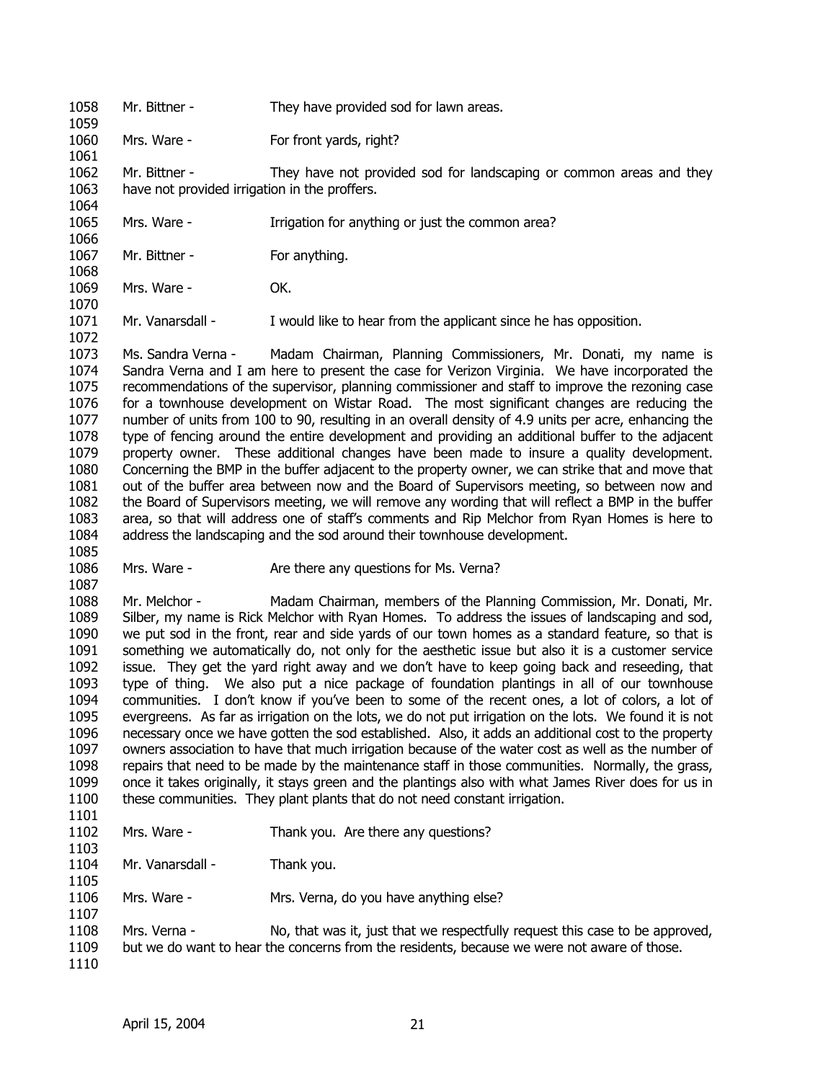1058 1059 1060 1061 1062 1063 1064 1065 1066 1067 1068 1069 1070 1071 Mr. Bittner - They have provided sod for lawn areas. Mrs. Ware - For front yards, right? Mr. Bittner - They have not provided sod for landscaping or common areas and they have not provided irrigation in the proffers. Mrs. Ware - Irrigation for anything or just the common area? Mr. Bittner - For anything. Mrs. Ware - OK. Mr. Vanarsdall - I would like to hear from the applicant since he has opposition.

1072 1073 1074 1075 1076 1077 1078 1079 1080 1081 1082 1083 1084 Ms. Sandra Verna - Madam Chairman, Planning Commissioners, Mr. Donati, my name is Sandra Verna and I am here to present the case for Verizon Virginia. We have incorporated the recommendations of the supervisor, planning commissioner and staff to improve the rezoning case for a townhouse development on Wistar Road. The most significant changes are reducing the number of units from 100 to 90, resulting in an overall density of 4.9 units per acre, enhancing the type of fencing around the entire development and providing an additional buffer to the adjacent property owner. These additional changes have been made to insure a quality development. Concerning the BMP in the buffer adjacent to the property owner, we can strike that and move that out of the buffer area between now and the Board of Supervisors meeting, so between now and the Board of Supervisors meeting, we will remove any wording that will reflect a BMP in the buffer area, so that will address one of staff's comments and Rip Melchor from Ryan Homes is here to address the landscaping and the sod around their townhouse development.

1085

1087

1086 Mrs. Ware - Are there any questions for Ms. Verna?

1088 1089 1090 1091 1092 1093 1094 1095 1096 1097 1098 1099 1100 Mr. Melchor - Madam Chairman, members of the Planning Commission, Mr. Donati, Mr. Silber, my name is Rick Melchor with Ryan Homes. To address the issues of landscaping and sod, we put sod in the front, rear and side yards of our town homes as a standard feature, so that is something we automatically do, not only for the aesthetic issue but also it is a customer service issue. They get the yard right away and we don't have to keep going back and reseeding, that type of thing. We also put a nice package of foundation plantings in all of our townhouse communities. I don't know if you've been to some of the recent ones, a lot of colors, a lot of evergreens. As far as irrigation on the lots, we do not put irrigation on the lots. We found it is not necessary once we have gotten the sod established. Also, it adds an additional cost to the property owners association to have that much irrigation because of the water cost as well as the number of repairs that need to be made by the maintenance staff in those communities. Normally, the grass, once it takes originally, it stays green and the plantings also with what James River does for us in these communities. They plant plants that do not need constant irrigation.

1101

1105

- 1102 1103 Mrs. Ware - Thank you. Are there any questions?
- 1104 Mr. Vanarsdall - Thank you.
- 1106 Mrs. Ware - Mrs. Verna, do you have anything else?
- 1108 1109 1110 Mrs. Verna - No, that was it, just that we respectfully request this case to be approved, but we do want to hear the concerns from the residents, because we were not aware of those.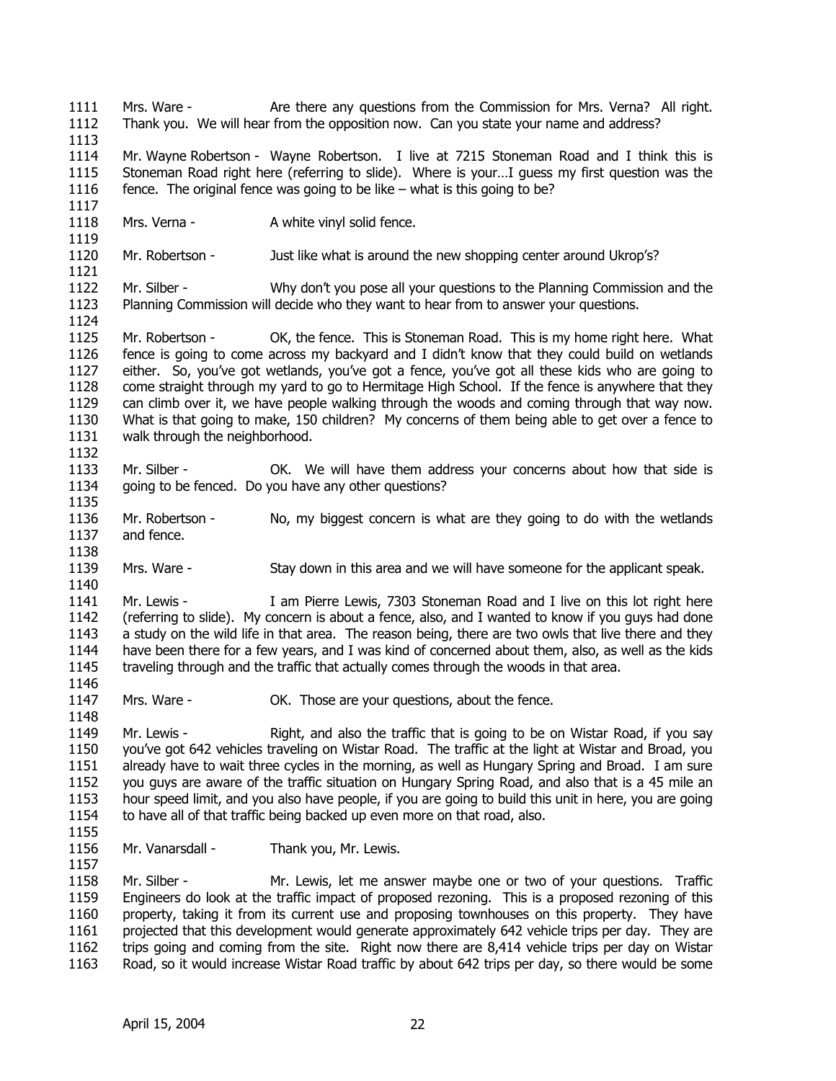1111 1112 1113 1114 1115 1116 1117 1118 1119 1120 1121 1122 1123 1124 1125 1126 1127 1128 1129 1130 1131 1132 1133 1134 1135 1136 1137 1138 1139 1140 1141 1142 1143 1144 1145 1146 1147 1148 1149 1150 1151 1152 1153 1154 1155 1156 1157 1158 1159 1160 1161 1162 1163 Mrs. Ware - Are there any questions from the Commission for Mrs. Verna? All right. Thank you. We will hear from the opposition now. Can you state your name and address? Mr. Wayne Robertson - Wayne Robertson. I live at 7215 Stoneman Road and I think this is Stoneman Road right here (referring to slide). Where is your…I guess my first question was the fence. The original fence was going to be like – what is this going to be? Mrs. Verna - A white vinyl solid fence. Mr. Robertson - Just like what is around the new shopping center around Ukrop's? Mr. Silber - Why don't you pose all your questions to the Planning Commission and the Planning Commission will decide who they want to hear from to answer your questions. Mr. Robertson - OK, the fence. This is Stoneman Road. This is my home right here. What fence is going to come across my backyard and I didn't know that they could build on wetlands either. So, you've got wetlands, you've got a fence, you've got all these kids who are going to come straight through my yard to go to Hermitage High School. If the fence is anywhere that they can climb over it, we have people walking through the woods and coming through that way now. What is that going to make, 150 children? My concerns of them being able to get over a fence to walk through the neighborhood. Mr. Silber - The Solician Concerns about how that side is not in the will have them address your concerns about how that side is going to be fenced. Do you have any other questions? Mr. Robertson - No, my biggest concern is what are they going to do with the wetlands and fence. Mrs. Ware - Stay down in this area and we will have someone for the applicant speak. Mr. Lewis - I am Pierre Lewis, 7303 Stoneman Road and I live on this lot right here (referring to slide). My concern is about a fence, also, and I wanted to know if you guys had done a study on the wild life in that area. The reason being, there are two owls that live there and they have been there for a few years, and I was kind of concerned about them, also, as well as the kids traveling through and the traffic that actually comes through the woods in that area. Mrs. Ware - **OK.** Those are your questions, about the fence. Mr. Lewis - Right, and also the traffic that is going to be on Wistar Road, if you say you've got 642 vehicles traveling on Wistar Road. The traffic at the light at Wistar and Broad, you already have to wait three cycles in the morning, as well as Hungary Spring and Broad. I am sure you guys are aware of the traffic situation on Hungary Spring Road, and also that is a 45 mile an hour speed limit, and you also have people, if you are going to build this unit in here, you are going to have all of that traffic being backed up even more on that road, also. Mr. Vanarsdall - Thank you, Mr. Lewis. Mr. Silber - Mr. Lewis, let me answer maybe one or two of your questions. Traffic Engineers do look at the traffic impact of proposed rezoning. This is a proposed rezoning of this property, taking it from its current use and proposing townhouses on this property. They have projected that this development would generate approximately 642 vehicle trips per day. They are trips going and coming from the site. Right now there are 8,414 vehicle trips per day on Wistar Road, so it would increase Wistar Road traffic by about 642 trips per day, so there would be some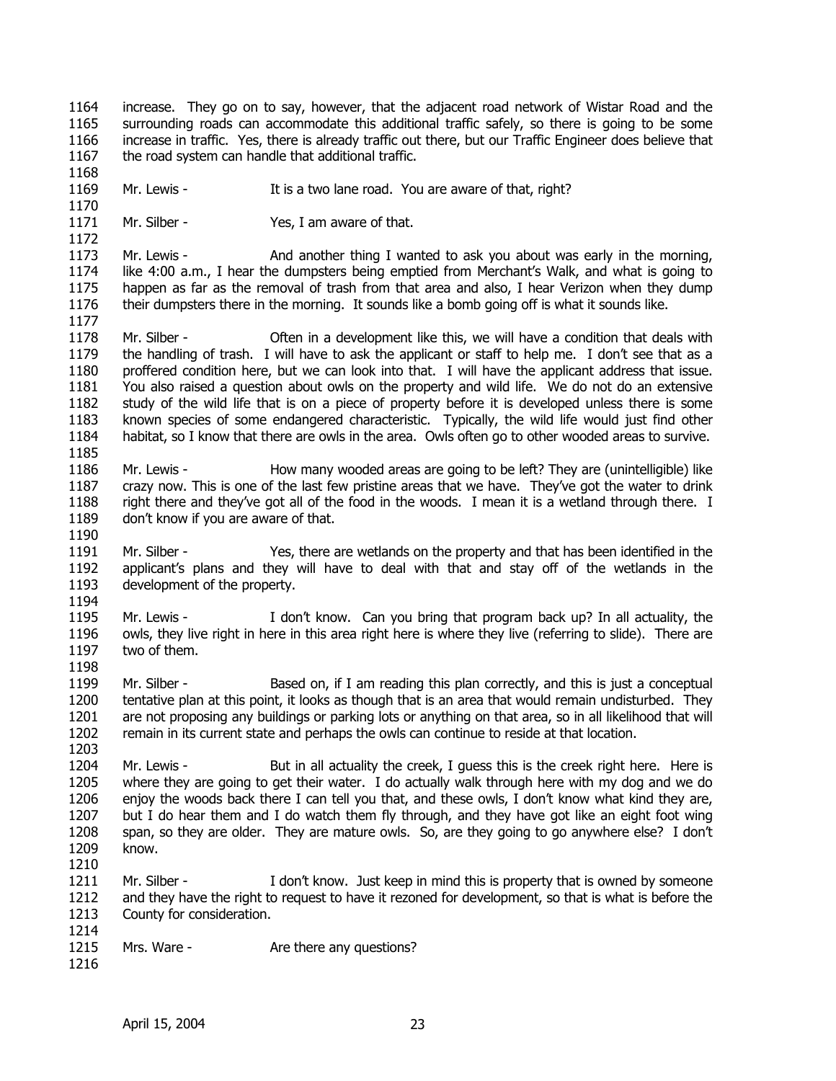- 1164 1165 1166 1167 increase. They go on to say, however, that the adjacent road network of Wistar Road and the surrounding roads can accommodate this additional traffic safely, so there is going to be some increase in traffic. Yes, there is already traffic out there, but our Traffic Engineer does believe that the road system can handle that additional traffic.
- 1169 Mr. Lewis - It is a two lane road. You are aware of that, right?
- 1171 Mr. Silber - Yes, I am aware of that.

1173 1174 1175 1176 Mr. Lewis - And another thing I wanted to ask you about was early in the morning, like 4:00 a.m., I hear the dumpsters being emptied from Merchant's Walk, and what is going to happen as far as the removal of trash from that area and also, I hear Verizon when they dump their dumpsters there in the morning. It sounds like a bomb going off is what it sounds like.

- 1178 1179 1180 1181 1182 1183 1184 1185 Mr. Silber - Often in a development like this, we will have a condition that deals with the handling of trash. I will have to ask the applicant or staff to help me. I don't see that as a proffered condition here, but we can look into that. I will have the applicant address that issue. You also raised a question about owls on the property and wild life. We do not do an extensive study of the wild life that is on a piece of property before it is developed unless there is some known species of some endangered characteristic. Typically, the wild life would just find other habitat, so I know that there are owls in the area. Owls often go to other wooded areas to survive.
- 1186 1187 1188 1189 Mr. Lewis - How many wooded areas are going to be left? They are (unintelligible) like crazy now. This is one of the last few pristine areas that we have. They've got the water to drink right there and they've got all of the food in the woods. I mean it is a wetland through there. I don't know if you are aware of that.
- 1191 1192 1193 1194 Mr. Silber - Yes, there are wetlands on the property and that has been identified in the applicant's plans and they will have to deal with that and stay off of the wetlands in the development of the property.
- 1195 1196 1197 1198 Mr. Lewis - I don't know. Can you bring that program back up? In all actuality, the owls, they live right in here in this area right here is where they live (referring to slide). There are two of them.
- 1199 1200 1201 1202 Mr. Silber - Based on, if I am reading this plan correctly, and this is just a conceptual tentative plan at this point, it looks as though that is an area that would remain undisturbed. They are not proposing any buildings or parking lots or anything on that area, so in all likelihood that will remain in its current state and perhaps the owls can continue to reside at that location.
- 1204 1205 1206 1207 1208 1209 Mr. Lewis - But in all actuality the creek, I guess this is the creek right here. Here is where they are going to get their water. I do actually walk through here with my dog and we do enjoy the woods back there I can tell you that, and these owls, I don't know what kind they are, but I do hear them and I do watch them fly through, and they have got like an eight foot wing span, so they are older. They are mature owls. So, are they going to go anywhere else? I don't know.
- 1211 1212 1213 1214 Mr. Silber - I don't know. Just keep in mind this is property that is owned by someone and they have the right to request to have it rezoned for development, so that is what is before the County for consideration.
- 1215 Mrs. Ware - Are there any questions?
- 1216

1210

1168

1170

1172

1177

1190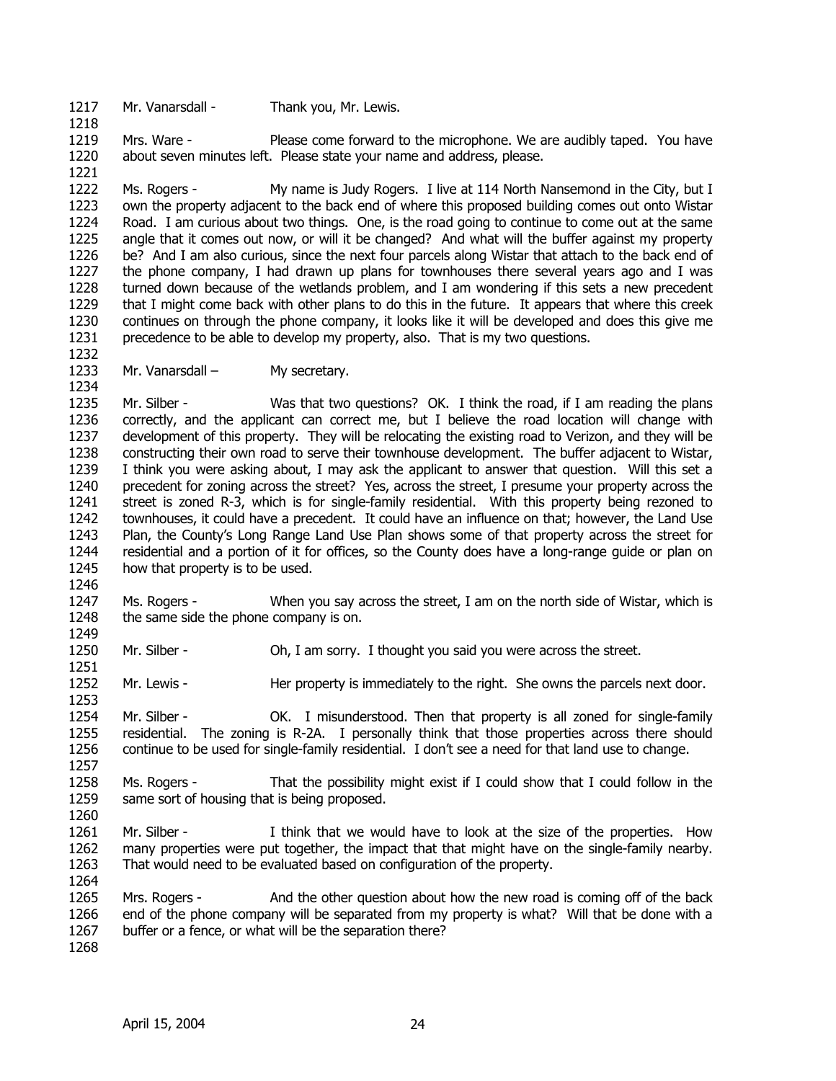1217 Mr. Vanarsdall - Thank you, Mr. Lewis.

1218

1221

1234

1219 1220 Mrs. Ware - Please come forward to the microphone. We are audibly taped. You have about seven minutes left. Please state your name and address, please.

1222 1223 1224 1225 1226 1227 1228 1229 1230 1231 1232 Ms. Rogers - My name is Judy Rogers. I live at 114 North Nansemond in the City, but I own the property adjacent to the back end of where this proposed building comes out onto Wistar Road. I am curious about two things. One, is the road going to continue to come out at the same angle that it comes out now, or will it be changed? And what will the buffer against my property be? And I am also curious, since the next four parcels along Wistar that attach to the back end of the phone company, I had drawn up plans for townhouses there several years ago and I was turned down because of the wetlands problem, and I am wondering if this sets a new precedent that I might come back with other plans to do this in the future. It appears that where this creek continues on through the phone company, it looks like it will be developed and does this give me precedence to be able to develop my property, also. That is my two questions.

1233 Mr. Vanarsdall – My secretary.

1235 1236 1237 1238 1239 1240 1241 1242 1243 1244 1245 1246 Mr. Silber - Was that two questions? OK. I think the road, if I am reading the plans correctly, and the applicant can correct me, but I believe the road location will change with development of this property. They will be relocating the existing road to Verizon, and they will be constructing their own road to serve their townhouse development. The buffer adjacent to Wistar, I think you were asking about, I may ask the applicant to answer that question. Will this set a precedent for zoning across the street? Yes, across the street, I presume your property across the street is zoned R-3, which is for single-family residential. With this property being rezoned to townhouses, it could have a precedent. It could have an influence on that; however, the Land Use Plan, the County's Long Range Land Use Plan shows some of that property across the street for residential and a portion of it for offices, so the County does have a long-range guide or plan on how that property is to be used.

1247 1248 1249 Ms. Rogers - When you say across the street, I am on the north side of Wistar, which is the same side the phone company is on.

1250 1251 Mr. Silber - Oh, I am sorry. I thought you said you were across the street.

1252 Mr. Lewis - Her property is immediately to the right. She owns the parcels next door.

1254 1255 1256 1257 Mr. Silber - OK. I misunderstood. Then that property is all zoned for single-family residential. The zoning is R-2A. I personally think that those properties across there should continue to be used for single-family residential. I don't see a need for that land use to change.

1258 1259 Ms. Rogers - That the possibility might exist if I could show that I could follow in the same sort of housing that is being proposed.

1261 1262 1263 Mr. Silber - I think that we would have to look at the size of the properties. How many properties were put together, the impact that that might have on the single-family nearby. That would need to be evaluated based on configuration of the property.

1265 1266 1267 Mrs. Rogers - And the other question about how the new road is coming off of the back end of the phone company will be separated from my property is what? Will that be done with a buffer or a fence, or what will be the separation there?

1268

1253

1260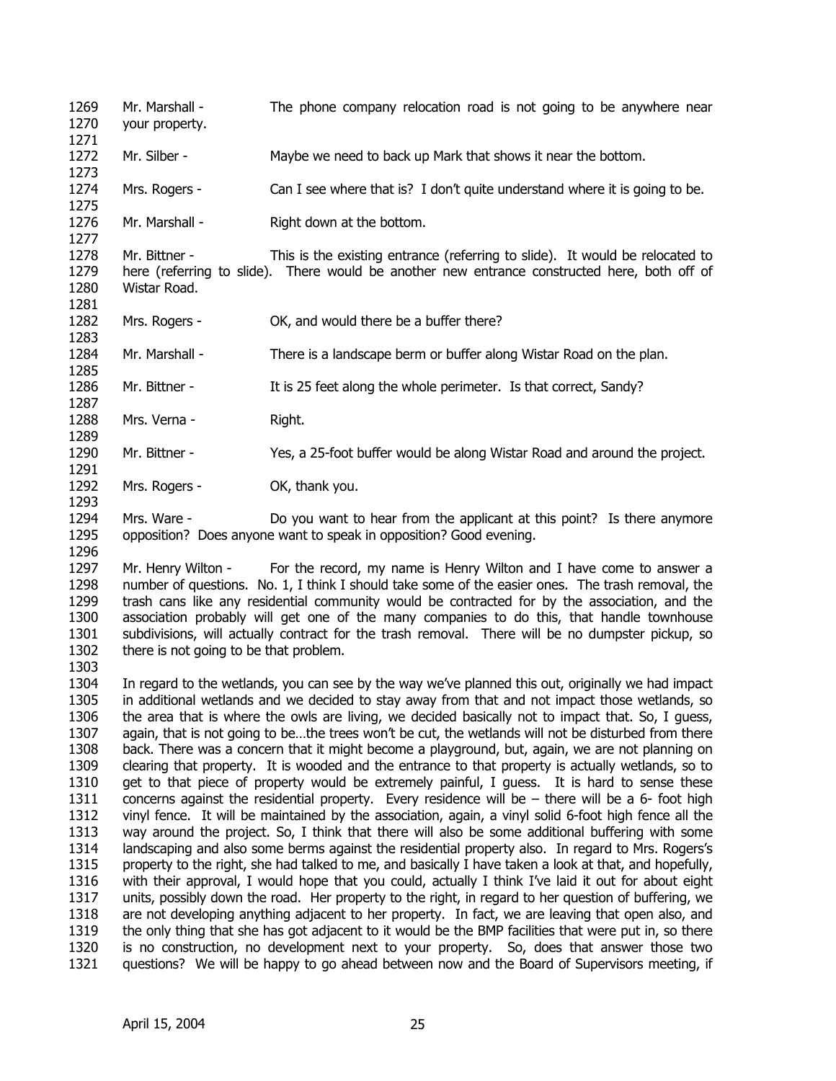1269 1270 1271 1272 1273 1274 1275 1276 1277 1278 1279 1280 1281 1282 1283 1284 1285 1286 1287 1288 1289 1290 1291 1292 1293 1294 1295 1296 1297 1298 1299 1300 1301 1302 1303 1304 1305 1306 1307 1308 1309 1310 1311 1312 1313 1314 1315 1316 1317 1318 1319 Mr. Marshall - The phone company relocation road is not going to be anywhere near your property. Mr. Silber - Maybe we need to back up Mark that shows it near the bottom. Mrs. Rogers - Can I see where that is? I don't quite understand where it is going to be. Mr. Marshall - Right down at the bottom. Mr. Bittner - This is the existing entrance (referring to slide). It would be relocated to here (referring to slide). There would be another new entrance constructed here, both off of Wistar Road. Mrs. Rogers - OK, and would there be a buffer there? Mr. Marshall - There is a landscape berm or buffer along Wistar Road on the plan. Mr. Bittner - It is 25 feet along the whole perimeter. Is that correct, Sandy? Mrs. Verna - Right. Mr. Bittner - Yes, a 25-foot buffer would be along Wistar Road and around the project. Mrs. Rogers - OK, thank you. Mrs. Ware - Do you want to hear from the applicant at this point? Is there anymore opposition? Does anyone want to speak in opposition? Good evening. Mr. Henry Wilton - For the record, my name is Henry Wilton and I have come to answer a number of questions. No. 1, I think I should take some of the easier ones. The trash removal, the trash cans like any residential community would be contracted for by the association, and the association probably will get one of the many companies to do this, that handle townhouse subdivisions, will actually contract for the trash removal. There will be no dumpster pickup, so there is not going to be that problem. In regard to the wetlands, you can see by the way we've planned this out, originally we had impact in additional wetlands and we decided to stay away from that and not impact those wetlands, so the area that is where the owls are living, we decided basically not to impact that. So, I guess, again, that is not going to be…the trees won't be cut, the wetlands will not be disturbed from there back. There was a concern that it might become a playground, but, again, we are not planning on clearing that property. It is wooded and the entrance to that property is actually wetlands, so to get to that piece of property would be extremely painful, I guess. It is hard to sense these concerns against the residential property. Every residence will be – there will be a 6- foot high vinyl fence. It will be maintained by the association, again, a vinyl solid 6-foot high fence all the way around the project. So, I think that there will also be some additional buffering with some landscaping and also some berms against the residential property also. In regard to Mrs. Rogers's property to the right, she had talked to me, and basically I have taken a look at that, and hopefully, with their approval, I would hope that you could, actually I think I've laid it out for about eight units, possibly down the road. Her property to the right, in regard to her question of buffering, we are not developing anything adjacent to her property. In fact, we are leaving that open also, and the only thing that she has got adjacent to it would be the BMP facilities that were put in, so there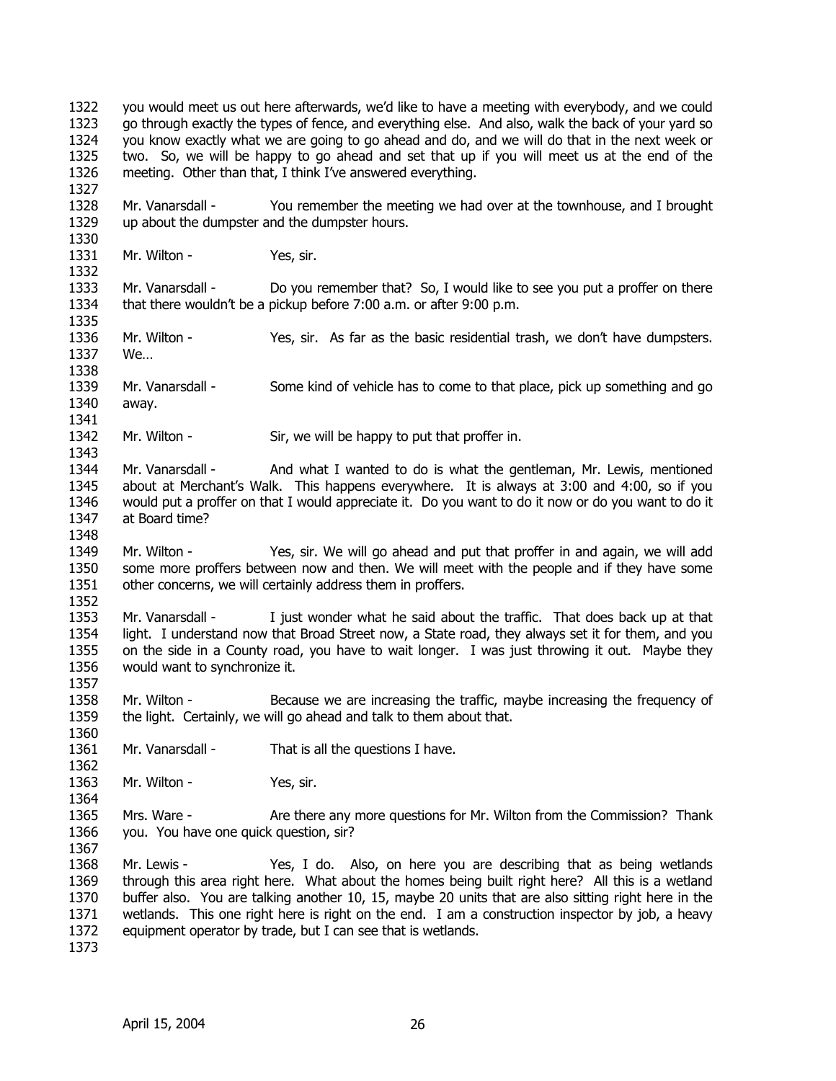1322 1323 1324 1325 1326 1327 1328 1329 1330 1331 1332 1333 1334 1335 1336 1337 1338 1339 1340 1341 1342 1343 1344 1345 1346 1347 1348 1349 1350 1351 1352 1353 1354 1355 1356 1357 1358 1359 1360 1361 1362 1363 1364 1365 1366 1367 1368 1369 1370 1371 1372 1373 you would meet us out here afterwards, we'd like to have a meeting with everybody, and we could go through exactly the types of fence, and everything else. And also, walk the back of your yard so you know exactly what we are going to go ahead and do, and we will do that in the next week or two. So, we will be happy to go ahead and set that up if you will meet us at the end of the meeting. Other than that, I think I've answered everything. Mr. Vanarsdall - You remember the meeting we had over at the townhouse, and I brought up about the dumpster and the dumpster hours. Mr. Wilton - Yes, sir. Mr. Vanarsdall - Do you remember that? So, I would like to see you put a proffer on there that there wouldn't be a pickup before 7:00 a.m. or after 9:00 p.m. Mr. Wilton - Yes, sir. As far as the basic residential trash, we don't have dumpsters. We… Mr. Vanarsdall - Some kind of vehicle has to come to that place, pick up something and go away. Mr. Wilton - Sir, we will be happy to put that proffer in. Mr. Vanarsdall - And what I wanted to do is what the gentleman, Mr. Lewis, mentioned about at Merchant's Walk. This happens everywhere. It is always at 3:00 and 4:00, so if you would put a proffer on that I would appreciate it. Do you want to do it now or do you want to do it at Board time? Mr. Wilton - Yes, sir. We will go ahead and put that proffer in and again, we will add some more proffers between now and then. We will meet with the people and if they have some other concerns, we will certainly address them in proffers. Mr. Vanarsdall - I just wonder what he said about the traffic. That does back up at that light. I understand now that Broad Street now, a State road, they always set it for them, and you on the side in a County road, you have to wait longer. I was just throwing it out. Maybe they would want to synchronize it. Mr. Wilton - Because we are increasing the traffic, maybe increasing the frequency of the light. Certainly, we will go ahead and talk to them about that. Mr. Vanarsdall - That is all the questions I have. Mr. Wilton - Yes, sir. Mrs. Ware - Are there any more questions for Mr. Wilton from the Commission? Thank you. You have one quick question, sir? Mr. Lewis - Yes, I do. Also, on here you are describing that as being wetlands through this area right here. What about the homes being built right here? All this is a wetland buffer also. You are talking another 10, 15, maybe 20 units that are also sitting right here in the wetlands. This one right here is right on the end. I am a construction inspector by job, a heavy equipment operator by trade, but I can see that is wetlands.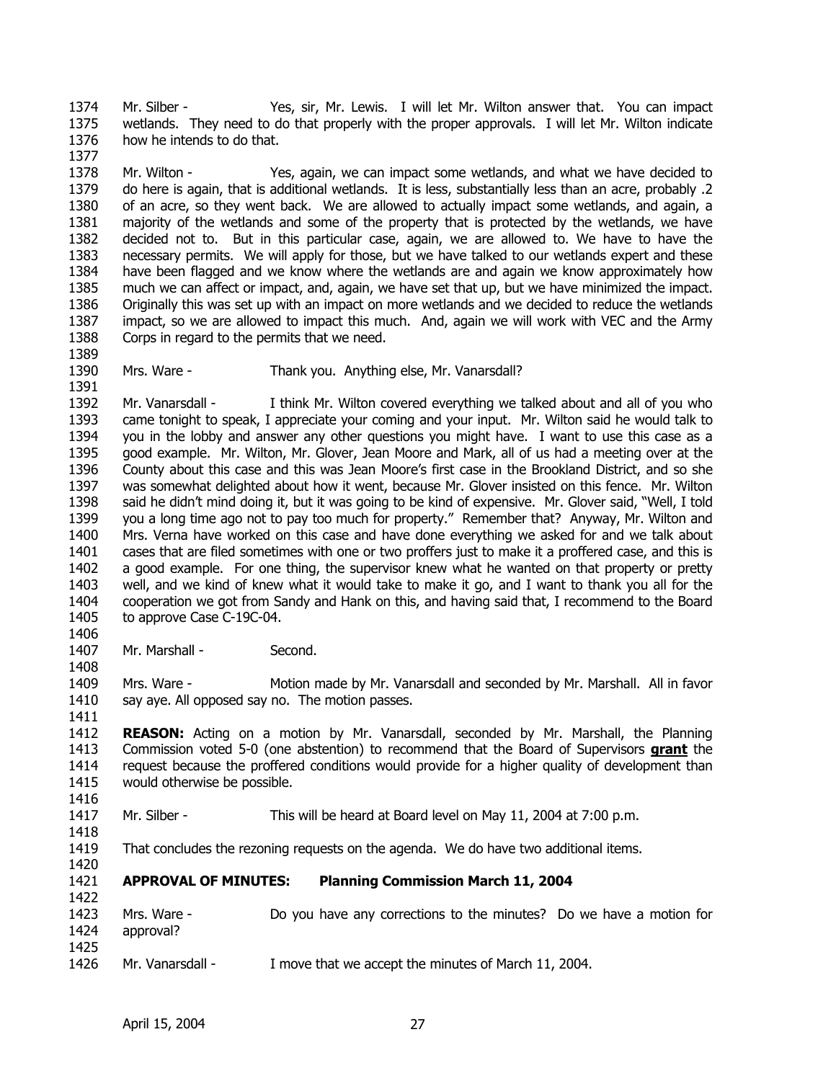1374 1375 1376 1377 Mr. Silber - Yes, sir, Mr. Lewis. I will let Mr. Wilton answer that. You can impact wetlands. They need to do that properly with the proper approvals. I will let Mr. Wilton indicate how he intends to do that.

1378 1379 1380 1381 1382 1383 1384 1385 1386 1387 1388 Mr. Wilton - Yes, again, we can impact some wetlands, and what we have decided to do here is again, that is additional wetlands. It is less, substantially less than an acre, probably .2 of an acre, so they went back. We are allowed to actually impact some wetlands, and again, a majority of the wetlands and some of the property that is protected by the wetlands, we have decided not to. But in this particular case, again, we are allowed to. We have to have the necessary permits. We will apply for those, but we have talked to our wetlands expert and these have been flagged and we know where the wetlands are and again we know approximately how much we can affect or impact, and, again, we have set that up, but we have minimized the impact. Originally this was set up with an impact on more wetlands and we decided to reduce the wetlands impact, so we are allowed to impact this much. And, again we will work with VEC and the Army Corps in regard to the permits that we need.

- 1389 1390 1391
- Mrs. Ware Thank you. Anything else, Mr. Vanarsdall?

1392 1393 1394 1395 1396 1397 1398 1399 1400 1401 1402 1403 1404 1405 Mr. Vanarsdall - I think Mr. Wilton covered everything we talked about and all of you who came tonight to speak, I appreciate your coming and your input. Mr. Wilton said he would talk to you in the lobby and answer any other questions you might have. I want to use this case as a good example. Mr. Wilton, Mr. Glover, Jean Moore and Mark, all of us had a meeting over at the County about this case and this was Jean Moore's first case in the Brookland District, and so she was somewhat delighted about how it went, because Mr. Glover insisted on this fence. Mr. Wilton said he didn't mind doing it, but it was going to be kind of expensive. Mr. Glover said, "Well, I told you a long time ago not to pay too much for property." Remember that? Anyway, Mr. Wilton and Mrs. Verna have worked on this case and have done everything we asked for and we talk about cases that are filed sometimes with one or two proffers just to make it a proffered case, and this is a good example. For one thing, the supervisor knew what he wanted on that property or pretty well, and we kind of knew what it would take to make it go, and I want to thank you all for the cooperation we got from Sandy and Hank on this, and having said that, I recommend to the Board to approve Case C-19C-04.

1407 Mr. Marshall - Second.

1409 1410 1411 Mrs. Ware - Motion made by Mr. Vanarsdall and seconded by Mr. Marshall. All in favor say aye. All opposed say no. The motion passes.

1412 **REASON:** Acting on a motion by Mr. Vanarsdall, seconded by Mr. Marshall, the Planning Commission voted 5-0 (one abstention) to recommend that the Board of Supervisors **grant** the request because the proffered conditions would provide for a higher quality of development than would otherwise be possible. 1413 1414 1415

1417 Mr. Silber - This will be heard at Board level on May 11, 2004 at 7:00 p.m.

1418

1416

1406

1408

1419 That concludes the rezoning requests on the agenda. We do have two additional items.

1420

1422

1421 **APPROVAL OF MINUTES: Planning Commission March 11, 2004** 

- 1423 1424 1425 Mrs. Ware - Do you have any corrections to the minutes? Do we have a motion for approval?
- 1426 Mr. Vanarsdall - I move that we accept the minutes of March 11, 2004.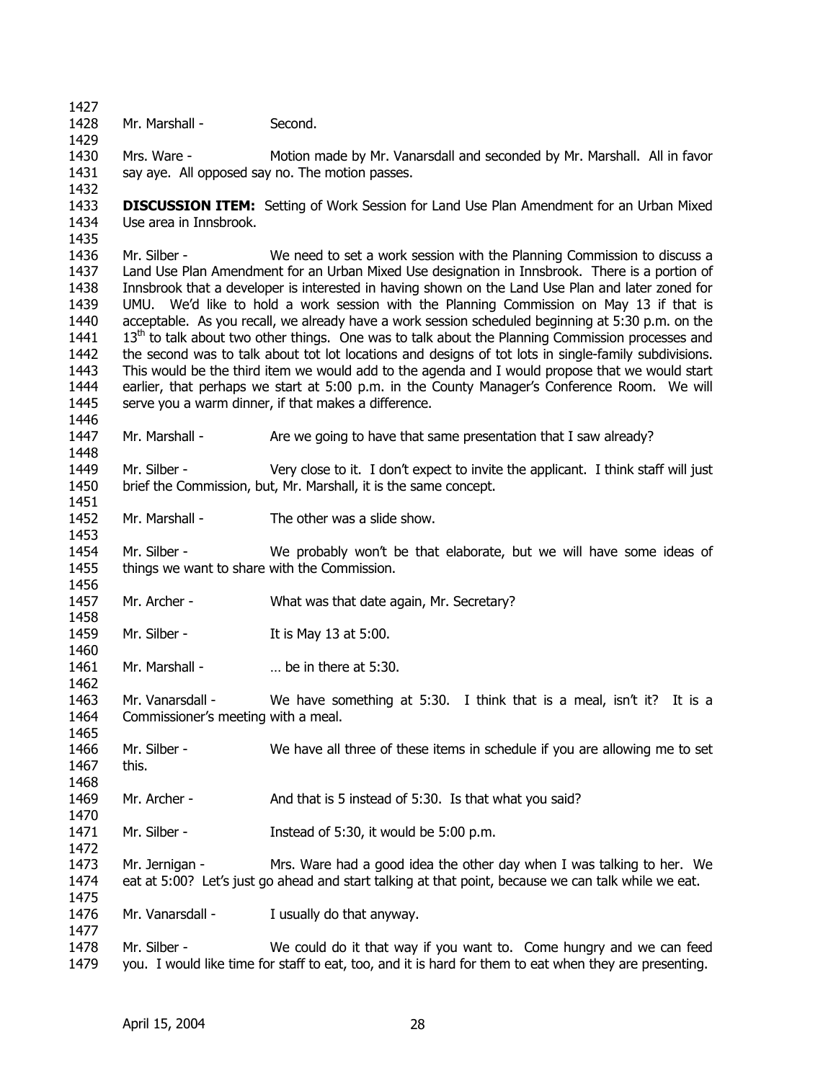1427 1428

1429

1446

1448

1453

1460

1462

1468

1470

1472

1475

1477

Mr. Marshall - Second.

1430 1431 1432 Mrs. Ware - Motion made by Mr. Vanarsdall and seconded by Mr. Marshall. All in favor say aye. All opposed say no. The motion passes.

1433 1434 1435 **DISCUSSION ITEM:** Setting of Work Session for Land Use Plan Amendment for an Urban Mixed Use area in Innsbrook.

1436 1437 1438 1439 1440 1441 1442 1443 1444 1445 Mr. Silber - We need to set a work session with the Planning Commission to discuss a Land Use Plan Amendment for an Urban Mixed Use designation in Innsbrook. There is a portion of Innsbrook that a developer is interested in having shown on the Land Use Plan and later zoned for UMU. We'd like to hold a work session with the Planning Commission on May 13 if that is acceptable. As you recall, we already have a work session scheduled beginning at 5:30 p.m. on the  $13<sup>th</sup>$  to talk about two other things. One was to talk about the Planning Commission processes and the second was to talk about tot lot locations and designs of tot lots in single-family subdivisions. This would be the third item we would add to the agenda and I would propose that we would start earlier, that perhaps we start at 5:00 p.m. in the County Manager's Conference Room. We will serve you a warm dinner, if that makes a difference.

1447 Mr. Marshall - Are we going to have that same presentation that I saw already?

1449 1450 1451 Mr. Silber - Very close to it. I don't expect to invite the applicant. I think staff will just brief the Commission, but, Mr. Marshall, it is the same concept.

1452 Mr. Marshall - The other was a slide show.

1454 1455 1456 Mr. Silber - We probably won't be that elaborate, but we will have some ideas of things we want to share with the Commission.

1457 1458 Mr. Archer - What was that date again, Mr. Secretary?

1459 Mr. Silber - It is May 13 at 5:00.

1461 Mr. Marshall - ... be in there at 5:30.

1463 1464 Mr. Vanarsdall - We have something at 5:30. I think that is a meal, isn't it? It is a Commissioner's meeting with a meal.

1465 1466 1467 Mr. Silber - We have all three of these items in schedule if you are allowing me to set this.

1469 Mr. Archer - And that is 5 instead of 5:30. Is that what you said?

1471 Mr. Silber - Instead of 5:30, it would be 5:00 p.m.

1473 1474 Mr. Jernigan - Mrs. Ware had a good idea the other day when I was talking to her. We eat at 5:00? Let's just go ahead and start talking at that point, because we can talk while we eat.

1476 Mr. Vanarsdall - I usually do that anyway.

1478 1479 Mr. Silber - We could do it that way if you want to. Come hungry and we can feed you. I would like time for staff to eat, too, and it is hard for them to eat when they are presenting.